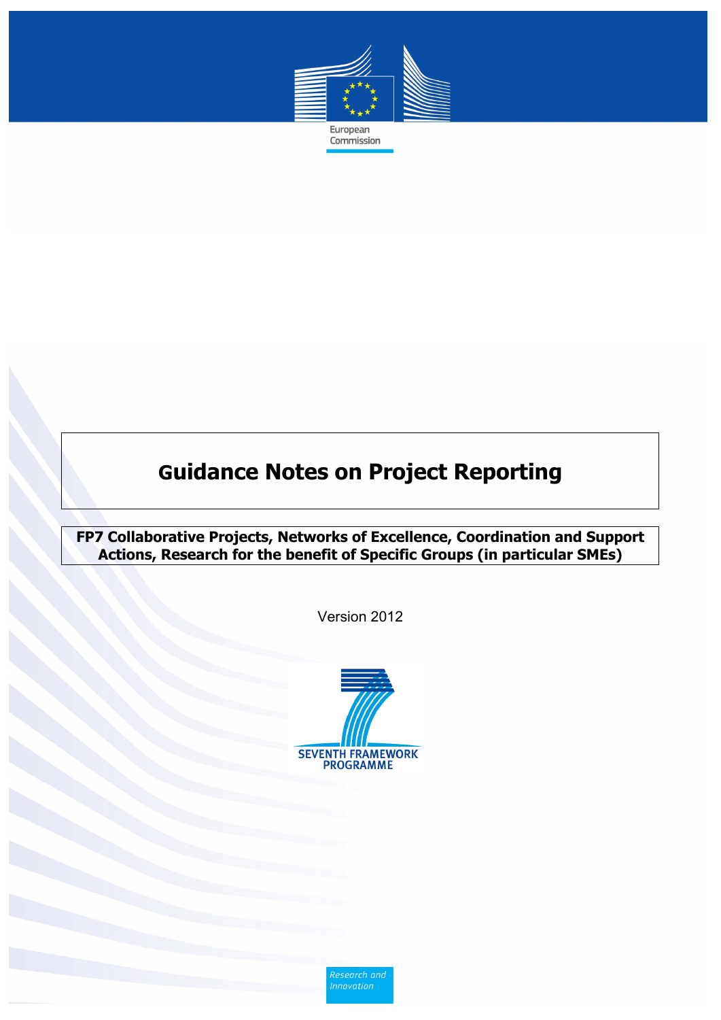

Commission

# **Guidance Notes on Project Reporting**

**FP7 Collaborative Projects, Networks of Excellence, Coordination and Support Actions, Research for the benefit of Specific Groups (in particular SMEs)**

Version 2012



Research and<br>Innovation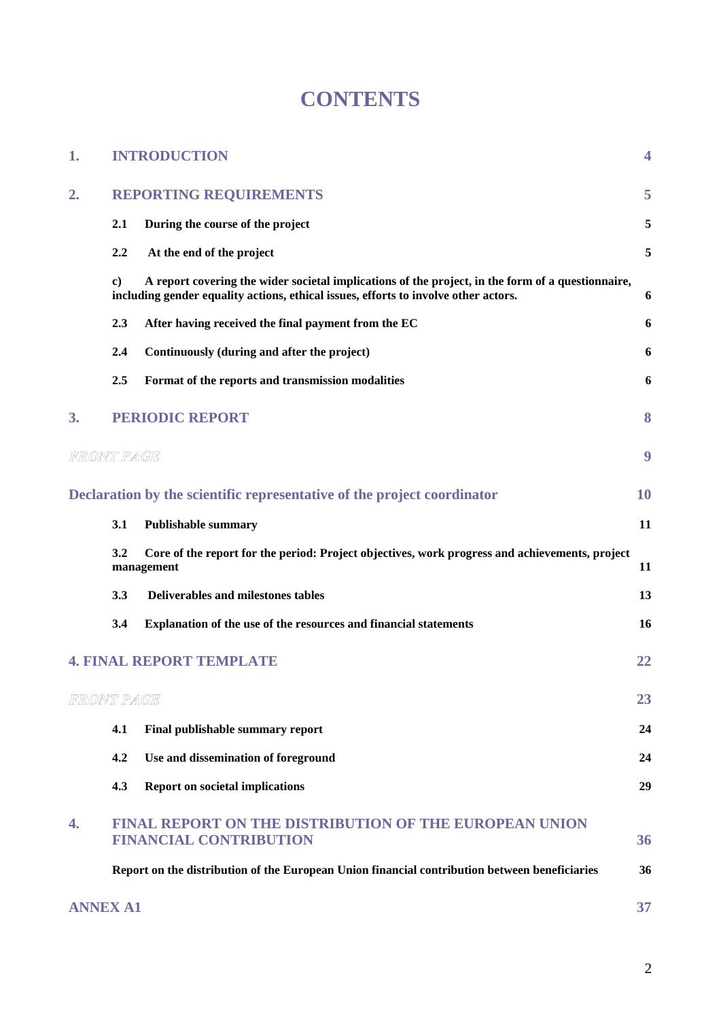# **CONTENTS**

| 1.              | <b>INTRODUCTION</b> |                                                                                                                                                                                          |    |  |  |
|-----------------|---------------------|------------------------------------------------------------------------------------------------------------------------------------------------------------------------------------------|----|--|--|
| 2.              |                     | <b>REPORTING REQUIREMENTS</b>                                                                                                                                                            | 5  |  |  |
|                 | 2.1                 | During the course of the project                                                                                                                                                         | 5  |  |  |
|                 | 2.2                 | At the end of the project                                                                                                                                                                | 5  |  |  |
|                 | $\bf c)$            | A report covering the wider societal implications of the project, in the form of a questionnaire,<br>including gender equality actions, ethical issues, efforts to involve other actors. | 6  |  |  |
|                 | 2.3                 | After having received the final payment from the EC                                                                                                                                      | 6  |  |  |
|                 | 2.4                 | Continuously (during and after the project)                                                                                                                                              | 6  |  |  |
|                 | 2.5                 | Format of the reports and transmission modalities                                                                                                                                        | 6  |  |  |
| 3.              |                     | <b>PERIODIC REPORT</b>                                                                                                                                                                   | 8  |  |  |
| FRONT PAGE      |                     |                                                                                                                                                                                          | 9  |  |  |
|                 |                     | Declaration by the scientific representative of the project coordinator                                                                                                                  | 10 |  |  |
|                 | 3.1                 | <b>Publishable summary</b>                                                                                                                                                               | 11 |  |  |
|                 | 3.2                 | Core of the report for the period: Project objectives, work progress and achievements, project<br>management                                                                             | 11 |  |  |
|                 | 3.3                 | <b>Deliverables and milestones tables</b>                                                                                                                                                | 13 |  |  |
|                 | 3.4                 | Explanation of the use of the resources and financial statements                                                                                                                         | 16 |  |  |
|                 |                     | <b>4. FINAL REPORT TEMPLATE</b>                                                                                                                                                          | 22 |  |  |
| FRONT PAGE      |                     |                                                                                                                                                                                          | 23 |  |  |
|                 | 4.1                 | Final publishable summary report                                                                                                                                                         | 24 |  |  |
|                 | 4.2                 | Use and dissemination of foreground                                                                                                                                                      | 24 |  |  |
|                 | 4.3                 | <b>Report on societal implications</b>                                                                                                                                                   | 29 |  |  |
| 4.              |                     | <b>FINAL REPORT ON THE DISTRIBUTION OF THE EUROPEAN UNION</b><br><b>FINANCIAL CONTRIBUTION</b>                                                                                           | 36 |  |  |
|                 |                     | Report on the distribution of the European Union financial contribution between beneficiaries                                                                                            | 36 |  |  |
| <b>ANNEX A1</b> |                     |                                                                                                                                                                                          | 37 |  |  |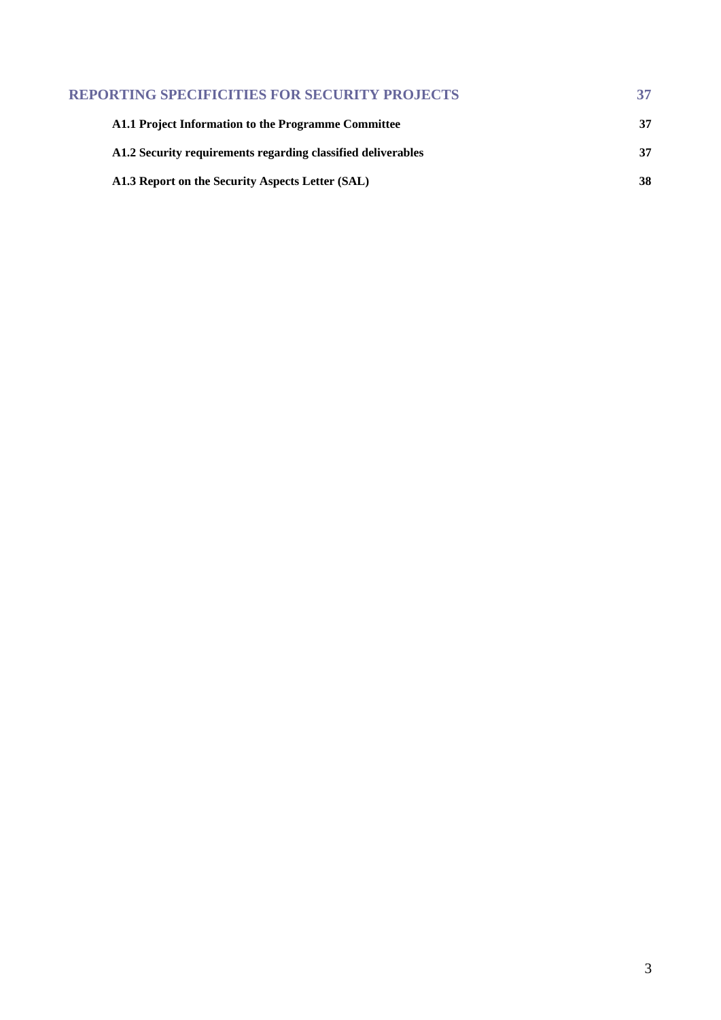| <b>REPORTING SPECIFICITIES FOR SECURITY PROJECTS</b>         | 37 |
|--------------------------------------------------------------|----|
| A1.1 Project Information to the Programme Committee          | 37 |
| A1.2 Security requirements regarding classified deliverables | 37 |
| A1.3 Report on the Security Aspects Letter (SAL)             | 38 |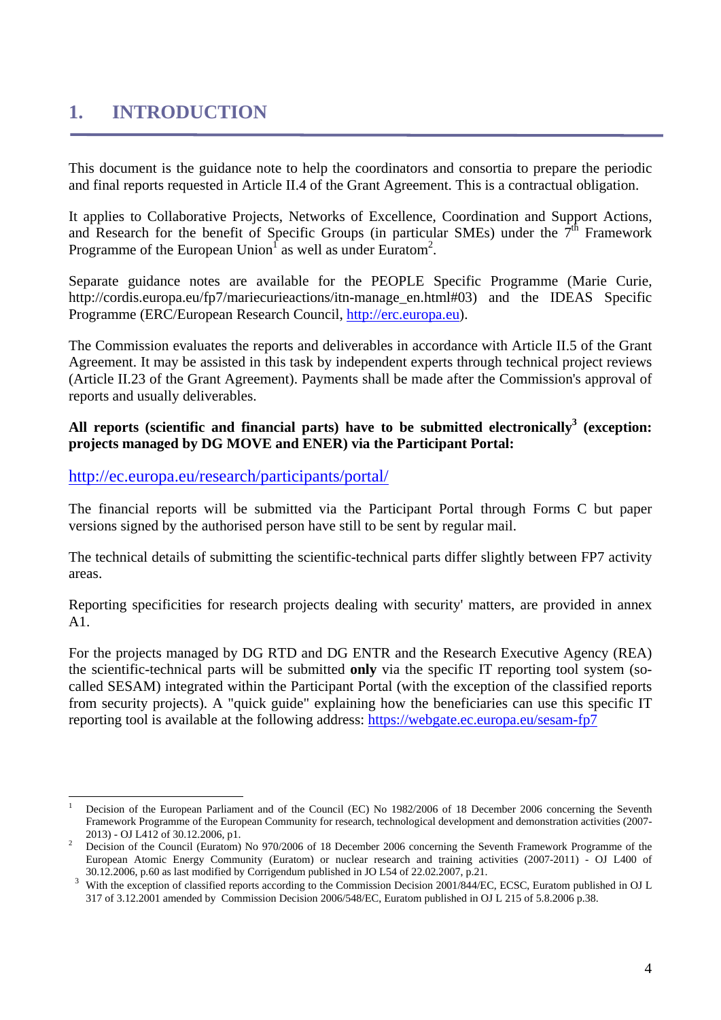# <span id="page-3-0"></span>**1. INTRODUCTION**

This document is the guidance note to help the coordinators and consortia to prepare the periodic and final reports requested in Article II.4 of the Grant Agreement. This is a contractual obligation.

It applies to Collaborative Projects, Networks of Excellence, Coordination and Support Actions, and Research for the benefit of Specific Groups (in particular SMEs) under the  $7<sup>th</sup>$  Framework Programme of the European Union<sup>1</sup> as well as under Euratom<sup>2</sup>.

Separate guidance notes are available for the PEOPLE Specific Programme (Marie Curie, http://cordis.europa.eu/fp7/mariecurieactions/itn-manage\_en.html#03) and the IDEAS Specific Programme (ERC/European Research Council[, http://erc.europa.eu\)](http://erc.europa.eu/).

The Commission evaluates the reports and deliverables in accordance with Article II.5 of the Grant Agreement. It may be assisted in this task by independent experts through technical project reviews (Article II.23 of the Grant Agreement). Payments shall be made after the Commission's approval of reports and usually deliverables.

### All reports (scientific and financial parts) have to be submitted electronically<sup>3</sup> (exception: **projects managed by DG MOVE and ENER) via the Participant Portal:**

<http://ec.europa.eu/research/participants/portal/>

The financial reports will be submitted via the Participant Portal through Forms C but paper versions signed by the authorised person have still to be sent by regular mail.

The technical details of submitting the scientific-technical parts differ slightly between FP7 activity areas.

Reporting specificities for research projects dealing with security' matters, are provided in annex A1.

For the projects managed by DG RTD and DG ENTR and the Research Executive Agency (REA) the scientific-technical parts will be submitted **only** via the specific IT reporting tool system (socalled SESAM) integrated within the Participant Portal (with the exception of the classified reports from security projects). A "quick guide" explaining how the beneficiaries can use this specific IT reporting tool is available at the following address[: https://webgate.ec.europa.eu/sesam-](https://webgate.ec.europa.eu/sesam)fp7

 $\overline{a}$ 1 Decision of the European Parliament and of the Council (EC) No 1982/2006 of 18 December 2006 concerning the Seventh Framework Programme of the European Community for research, technological development and demonstration activities (2007-

<sup>2013) -</sup> OJ L412 of 30.12.2006, p1.<br><sup>2</sup> Decision of the Council (Euratom) No 970/2006 of 18 December 2006 concerning the Seventh Framework Programme of the European Atomic Energy Community (Euratom) or nuclear research and training activities (2007-2011) - OJ L400 of 30.12.2006, p.60 as last modified by Corrigendum published in JO L54 of 22.02.2007, p.21.

With the exception of classified reports according to the Commission Decision 2001/844/EC, ECSC, Euratom published in OJ L 317 of 3.12.2001 amended by Commission Decision 2006/548/EC, Euratom published in OJ L 215 of 5.8.2006 p.38.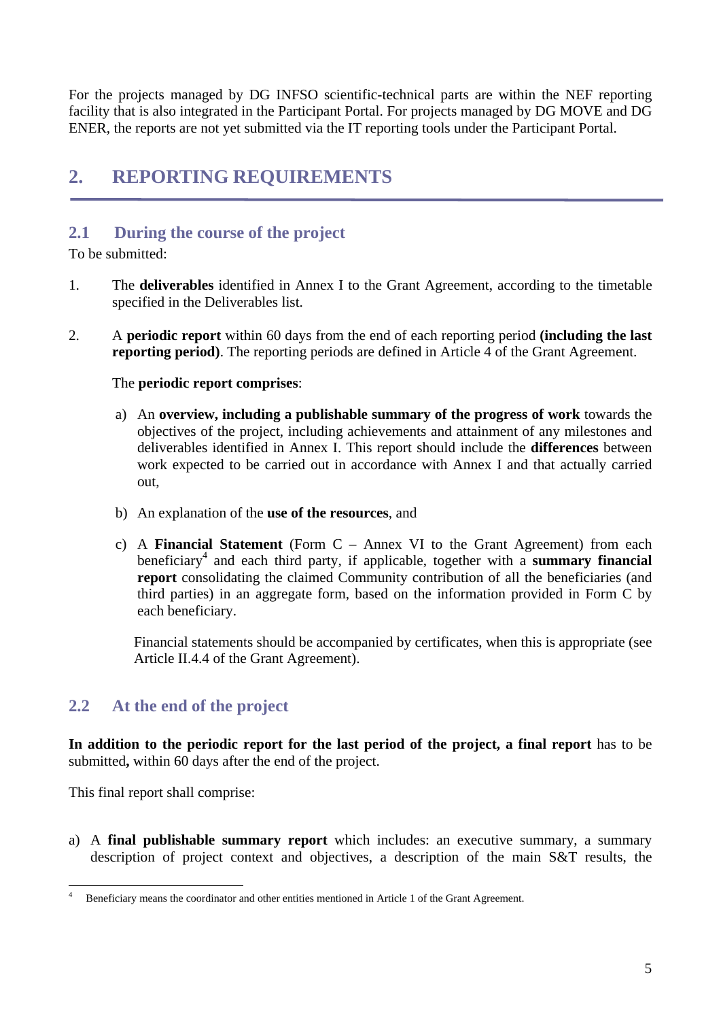For the projects managed by DG INFSO scientific-technical parts are within the NEF reporting facility that is also integrated in the Participant Portal. For projects managed by DG MOVE and DG ENER, the reports are not yet submitted via the IT reporting tools under the Participant Portal.

# <span id="page-4-0"></span>**2. REPORTING REQUIREMENTS**

# <span id="page-4-1"></span>**2.1 During the course of the project**

To be submitted:

- 1. The **deliverables** identified in Annex I to the Grant Agreement, according to the timetable specified in the Deliverables list.
- 2. A **periodic report** within 60 days from the end of each reporting period **(including the last reporting period)**. The reporting periods are defined in Article 4 of the Grant Agreement.

### The **periodic report comprises**:

- a) An **overview, including a publishable summary of the progress of work** towards the objectives of the project, including achievements and attainment of any milestones and deliverables identified in Annex I. This report should include the **differences** between work expected to be carried out in accordance with Annex I and that actually carried out,
- b) An explanation of the **use of the resources**, and
- c) A **Financial Statement** (Form C Annex VI to the Grant Agreement) from each beneficiary<sup>4</sup> and each third party, if applicable, together with a **summary financial report** consolidating the claimed Community contribution of all the beneficiaries (and third parties) in an aggregate form, based on the information provided in Form C by each beneficiary.

Financial statements should be accompanied by certificates, when this is appropriate (see Article II.4.4 of the Grant Agreement).

# <span id="page-4-2"></span>**2.2 At the end of the project**

**In addition to the periodic report for the last period of the project, a final report** has to be submitted**,** within 60 days after the end of the project.

This final report shall comprise:

a) A **final publishable summary report** which includes: an executive summary, a summary description of project context and objectives, a description of the main S&T results, the

 $\overline{a}$ 4 Beneficiary means the coordinator and other entities mentioned in Article 1 of the Grant Agreement.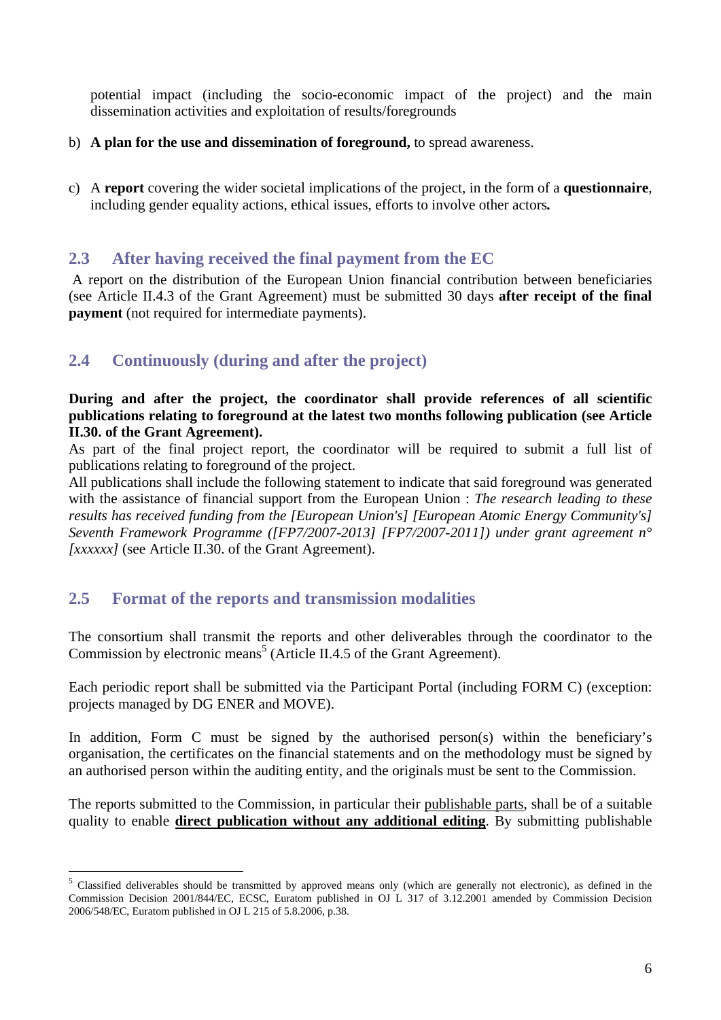potential impact (including the socio-economic impact of the project) and the main dissemination activities and exploitation of results/foregrounds

- b) **A plan for the use and dissemination of foreground,** to spread awareness.
- <span id="page-5-0"></span>c) A **report** covering the wider societal implications of the project, in the form of a **questionnaire**, including gender equality actions, ethical issues, efforts to involve other actors*.*

# <span id="page-5-1"></span>**2.3 After having received the final payment from the EC**

 A report on the distribution of the European Union financial contribution between beneficiaries (see Article II.4.3 of the Grant Agreement) must be submitted 30 days **after receipt of the final payment** (not required for intermediate payments).

# <span id="page-5-2"></span>**2.4 Continuously (during and after the project)**

### **During and after the project, the coordinator shall provide references of all scientific publications relating to foreground at the latest two months following publication (see Article II.30. of the Grant Agreement).**

As part of the final project report, the coordinator will be required to submit a full list of publications relating to foreground of the project.

All publications shall include the following statement to indicate that said foreground was generated with the assistance of financial support from the European Union : *The research leading to these results has received funding from the [European Union's] [European Atomic Energy Community's] Seventh Framework Programme ([FP7/2007-2013] [FP7/2007-2011]) under grant agreement n° [xxxxxx]* (see Article II.30. of the Grant Agreement).

# <span id="page-5-3"></span>**2.5 Format of the reports and transmission modalities**

 $\overline{a}$ 

The consortium shall transmit the reports and other deliverables through the coordinator to the Commission by electronic means<sup>5</sup> (Article II.4.5 of the Grant Agreement).

Each periodic report shall be submitted via the Participant Portal (including FORM C) (exception: projects managed by DG ENER and MOVE).

In addition, Form C must be signed by the authorised person(s) within the beneficiary's organisation, the certificates on the financial statements and on the methodology must be signed by an authorised person within the auditing entity, and the originals must be sent to the Commission.

The reports submitted to the Commission, in particular their publishable parts, shall be of a suitable quality to enable **direct publication without any additional editing**. By submitting publishable

<sup>&</sup>lt;sup>5</sup> Classified deliverables should be transmitted by approved means only (which are generally not electronic), as defined in the Commission Decision 2001/844/EC, ECSC, Euratom published in OJ L 317 of 3.12.2001 amended by Commission Decision 2006/548/EC, Euratom published in OJ L 215 of 5.8.2006, p.38.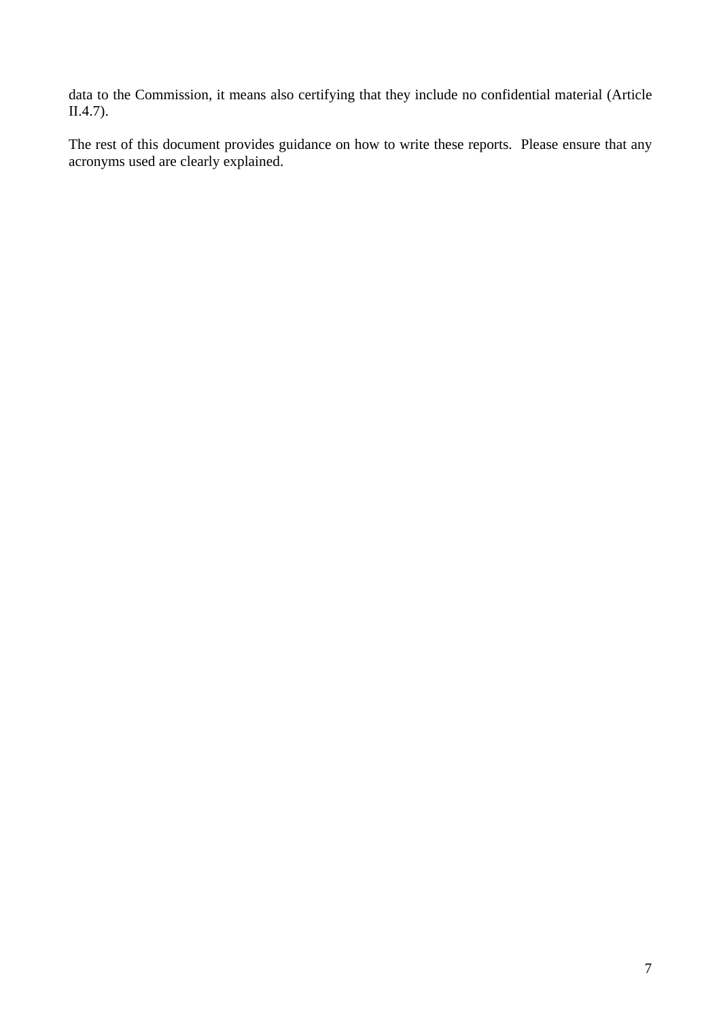data to the Commission, it means also certifying that they include no confidential material (Article II.4.7).

The rest of this document provides guidance on how to write these reports. Please ensure that any acronyms used are clearly explained.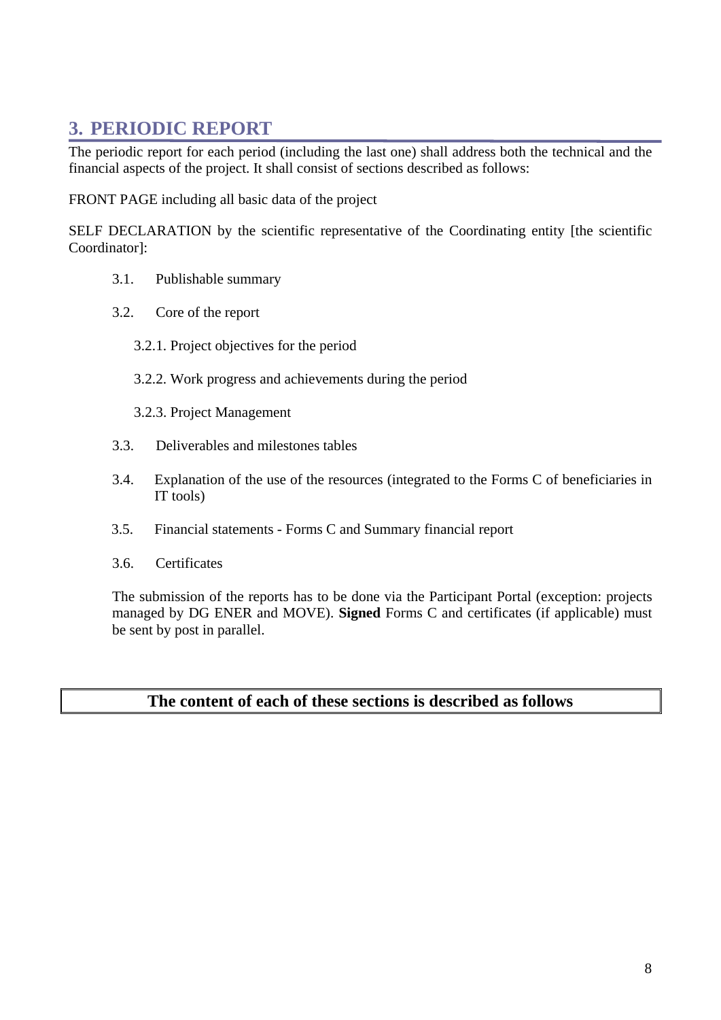# <span id="page-7-0"></span>**3. PERIODIC REPORT**

The periodic report for each period (including the last one) shall address both the technical and the financial aspects of the project. It shall consist of sections described as follows:

FRONT PAGE including all basic data of the project

SELF DECLARATION by the scientific representative of the Coordinating entity [the scientific Coordinator]:

- 3.1. Publishable summary
- 3.2. Core of the report
	- 3.2.1. Project objectives for the period
	- 3.2.2. Work progress and achievements during the period
	- 3.2.3. Project Management
- 3.3. Deliverables and milestones tables
- 3.4. Explanation of the use of the resources (integrated to the Forms C of beneficiaries in IT tools)
- 3.5. Financial statements Forms C and Summary financial report
- 3.6. Certificates

The submission of the reports has to be done via the Participant Portal (exception: projects managed by DG ENER and MOVE). **Signed** Forms C and certificates (if applicable) must be sent by post in parallel.

# **The content of each of these sections is described as follows**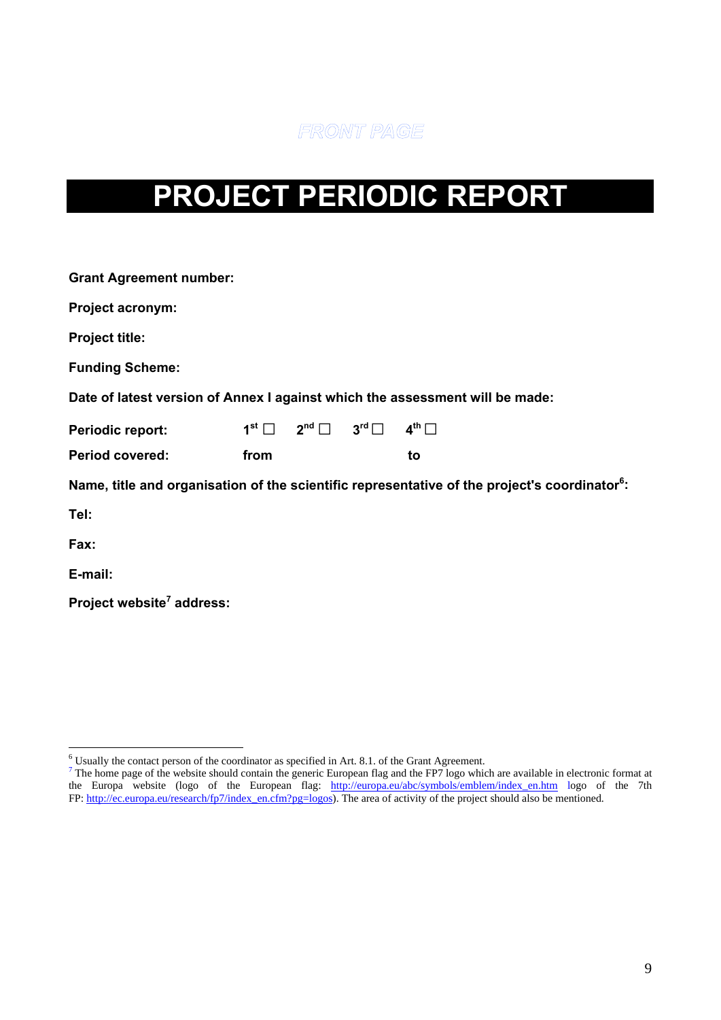FRONT PAGE

# <span id="page-8-0"></span>**PROJECT PERIODIC REPORT**

| <b>Grant Agreement number:</b>                                               |      |                                                                                             |  |                                                                                                           |  |  |  |  |
|------------------------------------------------------------------------------|------|---------------------------------------------------------------------------------------------|--|-----------------------------------------------------------------------------------------------------------|--|--|--|--|
| <b>Project acronym:</b>                                                      |      |                                                                                             |  |                                                                                                           |  |  |  |  |
| <b>Project title:</b>                                                        |      |                                                                                             |  |                                                                                                           |  |  |  |  |
| <b>Funding Scheme:</b>                                                       |      |                                                                                             |  |                                                                                                           |  |  |  |  |
| Date of latest version of Annex I against which the assessment will be made: |      |                                                                                             |  |                                                                                                           |  |  |  |  |
| <b>Periodic report:</b>                                                      |      | $1^{\text{st}}$ $\Box$ $2^{\text{nd}}$ $\Box$ $3^{\text{rd}}$ $\Box$ $4^{\text{th}}$ $\Box$ |  |                                                                                                           |  |  |  |  |
| <b>Period covered:</b>                                                       | from |                                                                                             |  | to                                                                                                        |  |  |  |  |
|                                                                              |      |                                                                                             |  | Name, title and organisation of the scientific representative of the project's coordinator <sup>6</sup> : |  |  |  |  |
| Tel:                                                                         |      |                                                                                             |  |                                                                                                           |  |  |  |  |
| Fax:                                                                         |      |                                                                                             |  |                                                                                                           |  |  |  |  |
| E-mail:                                                                      |      |                                                                                             |  |                                                                                                           |  |  |  |  |
| Project website <sup>7</sup> address:                                        |      |                                                                                             |  |                                                                                                           |  |  |  |  |

<sup>&</sup>lt;sup>6</sup> Usually the contact person of the coordinator as specified in Art. 8.1. of the Grant Agreement.<br><sup>7</sup> The home page of the website should contain the generic European flag and the FP7 logo which are available in electro the Europa website (logo of the European flag: [http://europa.eu/abc/symbols/emblem/index\\_en.htm](http://europa.eu/abc/symbols/emblem/index_en.htm) logo of the 7th FP: http://ec.europa.eu/research/fp7/index\_en.cfm?pg=logos). The area of activity of the project should also be mentioned.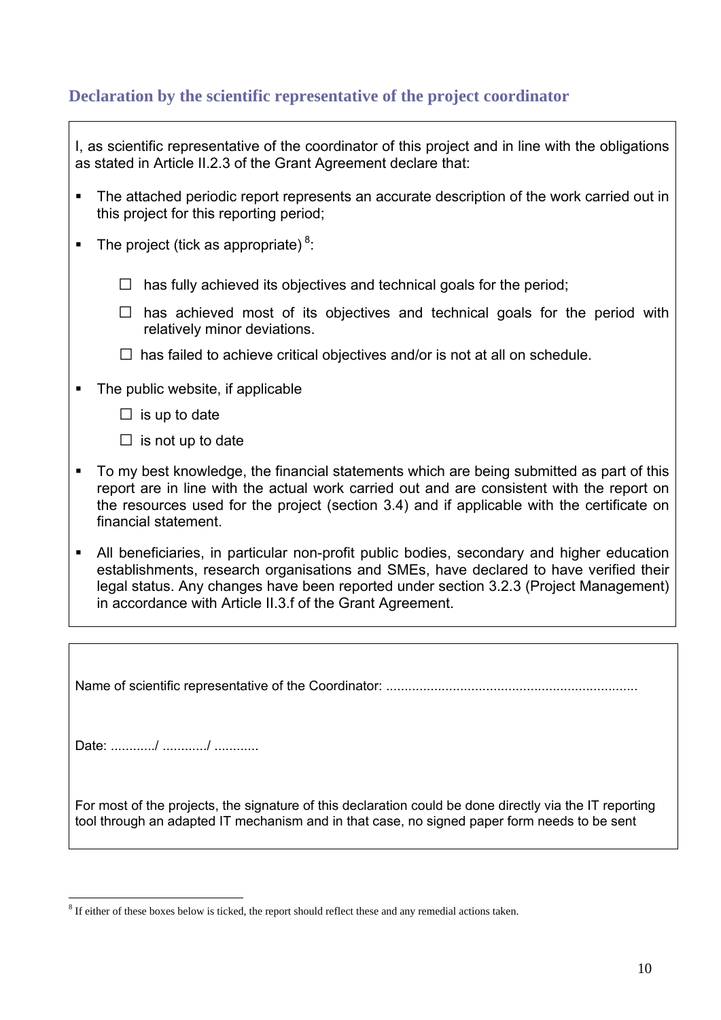# <span id="page-9-0"></span>**Declaration by the scientific representative of the project coordinator**

|   | I, as scientific representative of the coordinator of this project and in line with the obligations<br>as stated in Article II.2.3 of the Grant Agreement declare that:                                                                                                                                                                  |
|---|------------------------------------------------------------------------------------------------------------------------------------------------------------------------------------------------------------------------------------------------------------------------------------------------------------------------------------------|
| ٠ | The attached periodic report represents an accurate description of the work carried out in<br>this project for this reporting period;                                                                                                                                                                                                    |
|   | The project (tick as appropriate) $8$ .                                                                                                                                                                                                                                                                                                  |
|   | has fully achieved its objectives and technical goals for the period;<br>$\Box$                                                                                                                                                                                                                                                          |
|   | has achieved most of its objectives and technical goals for the period with<br>$\Box$<br>relatively minor deviations.                                                                                                                                                                                                                    |
|   | $\Box$ has failed to achieve critical objectives and/or is not at all on schedule.                                                                                                                                                                                                                                                       |
|   | The public website, if applicable                                                                                                                                                                                                                                                                                                        |
|   | $\Box$ is up to date                                                                                                                                                                                                                                                                                                                     |
|   | $\Box$ is not up to date                                                                                                                                                                                                                                                                                                                 |
|   | To my best knowledge, the financial statements which are being submitted as part of this<br>report are in line with the actual work carried out and are consistent with the report on<br>the resources used for the project (section 3.4) and if applicable with the certificate on<br>financial statement.                              |
| п | All beneficiaries, in particular non-profit public bodies, secondary and higher education<br>establishments, research organisations and SMEs, have declared to have verified their<br>legal status. Any changes have been reported under section 3.2.3 (Project Management)<br>in accordance with Article II.3.f of the Grant Agreement. |
|   |                                                                                                                                                                                                                                                                                                                                          |
|   |                                                                                                                                                                                                                                                                                                                                          |

Name of scientific representative of the Coordinator: ....................................................................

Date: ............/ ............/ ............

For most of the projects, the signature of this declaration could be done directly via the IT reporting tool through an adapted IT mechanism and in that case, no signed paper form needs to be sent

 $\overline{a}$  $8$  If either of these boxes below is ticked, the report should reflect these and any remedial actions taken.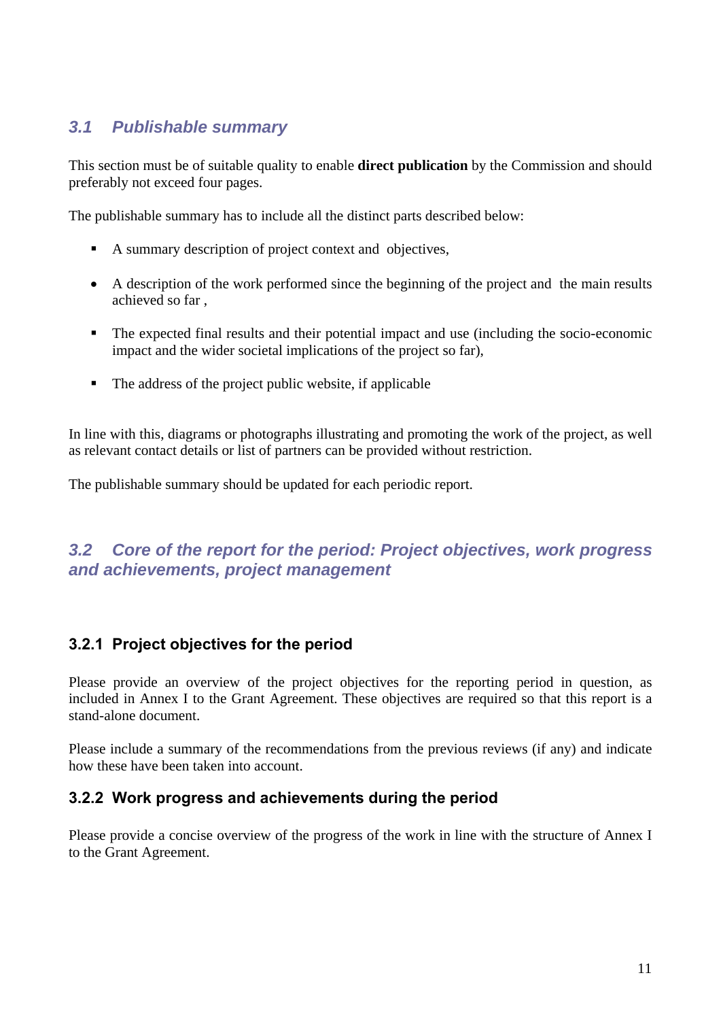# <span id="page-10-0"></span>*3.1 Publishable summary*

This section must be of suitable quality to enable **direct publication** by the Commission and should preferably not exceed four pages.

The publishable summary has to include all the distinct parts described below:

- A summary description of project context and objectives,
- A description of the work performed since the beginning of the project and the main results achieved so far ,
- The expected final results and their potential impact and use (including the socio-economic impact and the wider societal implications of the project so far),
- The address of the project public website, if applicable

In line with this, diagrams or photographs illustrating and promoting the work of the project, as well as relevant contact details or list of partners can be provided without restriction.

The publishable summary should be updated for each periodic report.

# <span id="page-10-1"></span>*3.2 Core of the report for the period: Project objectives, work progress and achievements, project management*

# **3.2.1 Project objectives for the period**

Please provide an overview of the project objectives for the reporting period in question, as included in Annex I to the Grant Agreement. These objectives are required so that this report is a stand-alone document.

Please include a summary of the recommendations from the previous reviews (if any) and indicate how these have been taken into account.

### **3.2.2 Work progress and achievements during the period**

Please provide a concise overview of the progress of the work in line with the structure of Annex I to the Grant Agreement.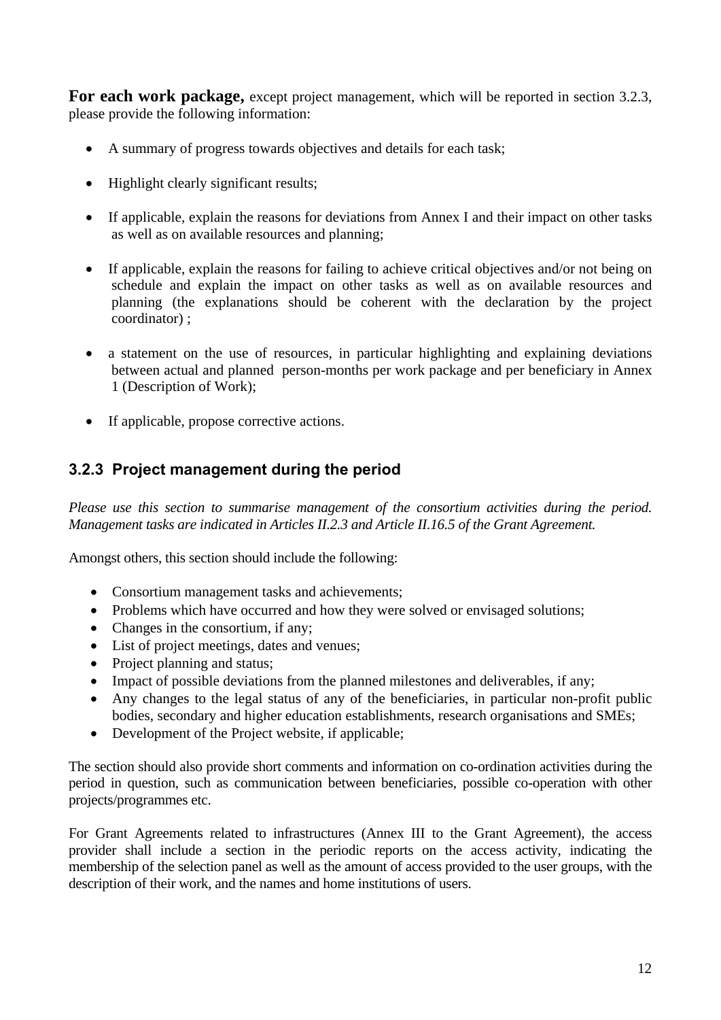For each work package, except project management, which will be reported in section 3.2.3, please provide the following information:

- A summary of progress towards objectives and details for each task;
- Highlight clearly significant results;
- If applicable, explain the reasons for deviations from Annex I and their impact on other tasks as well as on available resources and planning;
- If applicable, explain the reasons for failing to achieve critical objectives and/or not being on schedule and explain the impact on other tasks as well as on available resources and planning (the explanations should be coherent with the declaration by the project coordinator) ;
- a statement on the use of resources, in particular highlighting and explaining deviations between actual and planned person-months per work package and per beneficiary in Annex 1 (Description of Work);
- If applicable, propose corrective actions.

# **3.2.3 Project management during the period**

*Please use this section to summarise management of the consortium activities during the period. Management tasks are indicated in Articles II.2.3 and Article II.16.5 of the Grant Agreement.* 

Amongst others, this section should include the following:

- Consortium management tasks and achievements:
- Problems which have occurred and how they were solved or envisaged solutions;
- Changes in the consortium, if any;
- List of project meetings, dates and venues;
- Project planning and status:
- Impact of possible deviations from the planned milestones and deliverables, if any;
- Any changes to the legal status of any of the beneficiaries, in particular non-profit public bodies, secondary and higher education establishments, research organisations and SMEs;
- Development of the Project website, if applicable;

The section should also provide short comments and information on co-ordination activities during the period in question, such as communication between beneficiaries, possible co-operation with other projects/programmes etc.

For Grant Agreements related to infrastructures (Annex III to the Grant Agreement), the access provider shall include a section in the periodic reports on the access activity, indicating the membership of the selection panel as well as the amount of access provided to the user groups, with the description of their work, and the names and home institutions of users.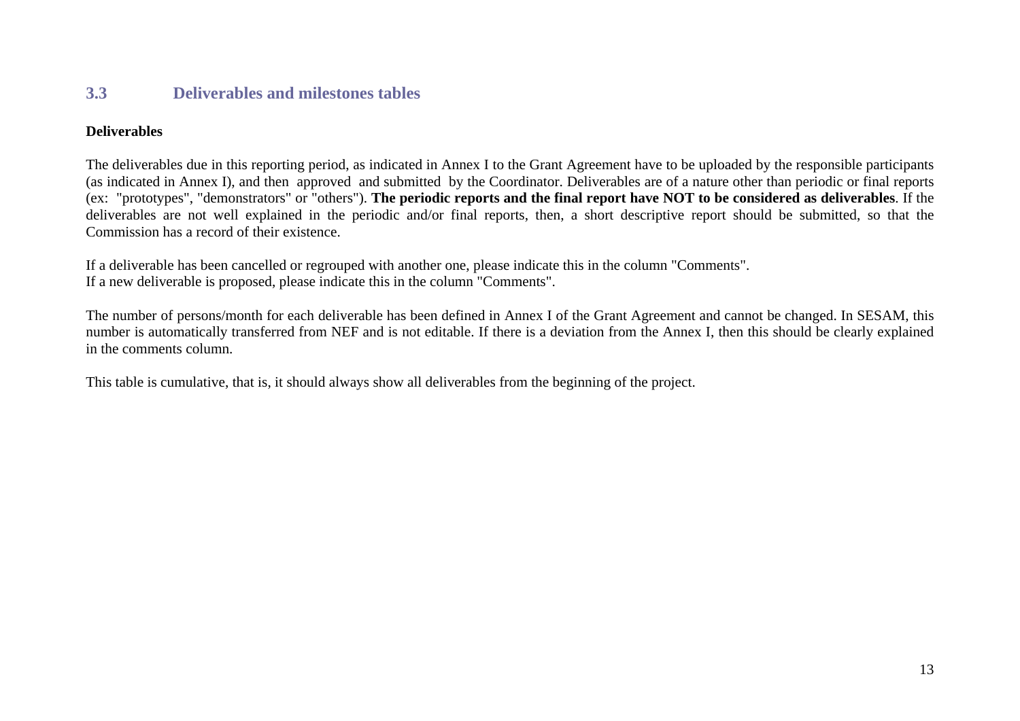# **3.3 Deliverables and milestones tables**

### **Deliverables**

The deliverables due in this reporting period, as indicated in Annex I to the Grant Agreement have to be uploaded by the responsible participants (as indicated in Annex I), and then approved and submitted by the Coordinator. Deliverables are of a nature other than periodic or final reports (ex: "prototypes", "demonstrators" or "others"). **The periodic reports and the final report have NOT to be considered as deliverables**. If the deliverables are not well explained in the periodic and/or final reports, then, a short descriptive report should be submitted, so that the Commission has a record of their existence.

If a deliverable has been cancelled or regrouped with another one, please indicate this in the column "Comments". If a new deliverable is proposed, please indicate this in the column "Comments".

The number of persons/month for each deliverable has been defined in Annex I of the Grant Agreement and cannot be changed. In SESAM, this number is automatically transferred from NEF and is not editable. If there is a deviation from the Annex I, then this should be clearly explained in the comments column.

<span id="page-12-0"></span>This table is cumulative, that is, it should always show all deliverables from the beginning of the project.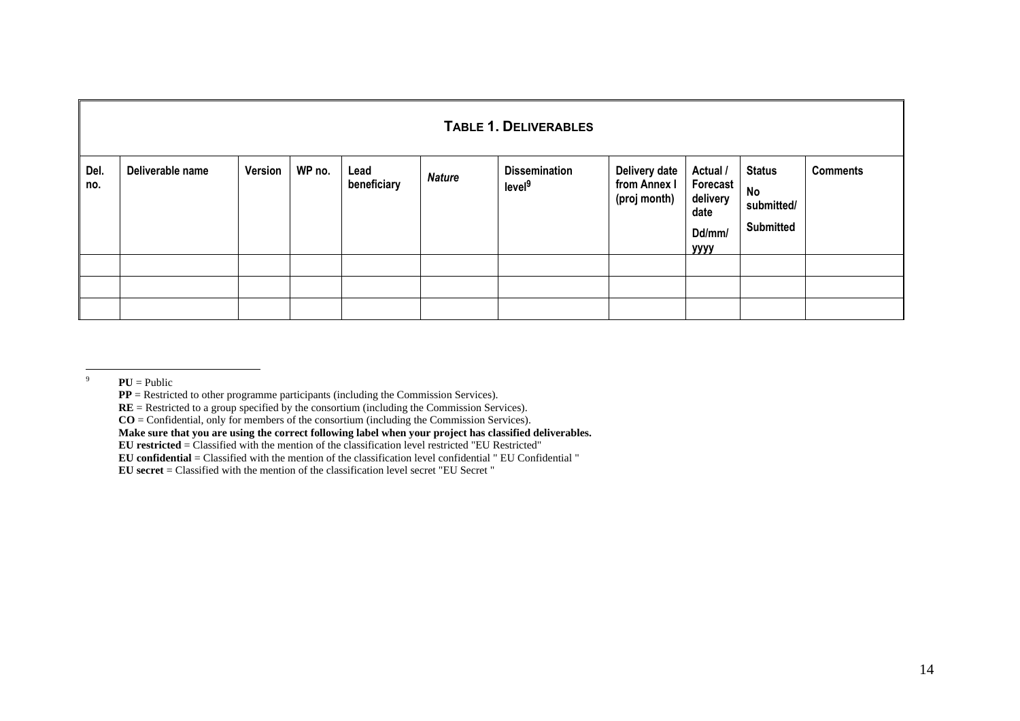|             | <b>TABLE 1. DELIVERABLES</b> |         |        |                     |               |                                            |                                               |                                                                         |                                                              |                 |
|-------------|------------------------------|---------|--------|---------------------|---------------|--------------------------------------------|-----------------------------------------------|-------------------------------------------------------------------------|--------------------------------------------------------------|-----------------|
| Del.<br>no. | Deliverable name             | Version | WP no. | Lead<br>beneficiary | <b>Nature</b> | <b>Dissemination</b><br>level <sup>9</sup> | Delivery date<br>from Annex I<br>(proj month) | Actual /<br>Forecast <sup>1</sup><br>delivery<br>date<br>Dd/mm/<br>уууу | <b>Status</b><br><b>No</b><br>submitted/<br><b>Submitted</b> | <b>Comments</b> |
|             |                              |         |        |                     |               |                                            |                                               |                                                                         |                                                              |                 |
|             |                              |         |        |                     |               |                                            |                                               |                                                                         |                                                              |                 |
|             |                              |         |        |                     |               |                                            |                                               |                                                                         |                                                              |                 |

9 $PU =$ Public

**PP** = Restricted to other programme participants (including the Commission Services).

**RE** = Restricted to a group specified by the consortium (including the Commission Services).

**CO** = Confidential, only for members of the consortium (including the Commission Services).

**Make sure that you are using the correct following label when your project has classified deliverables.**

**EU restricted** = Classified with the mention of the classification level restricted "EU Restricted"

**EU confidential** = Classified with the mention of the classification level confidential " EU Confidential "

**EU secret** = Classified with the mention of the classification level secret "EU Secret "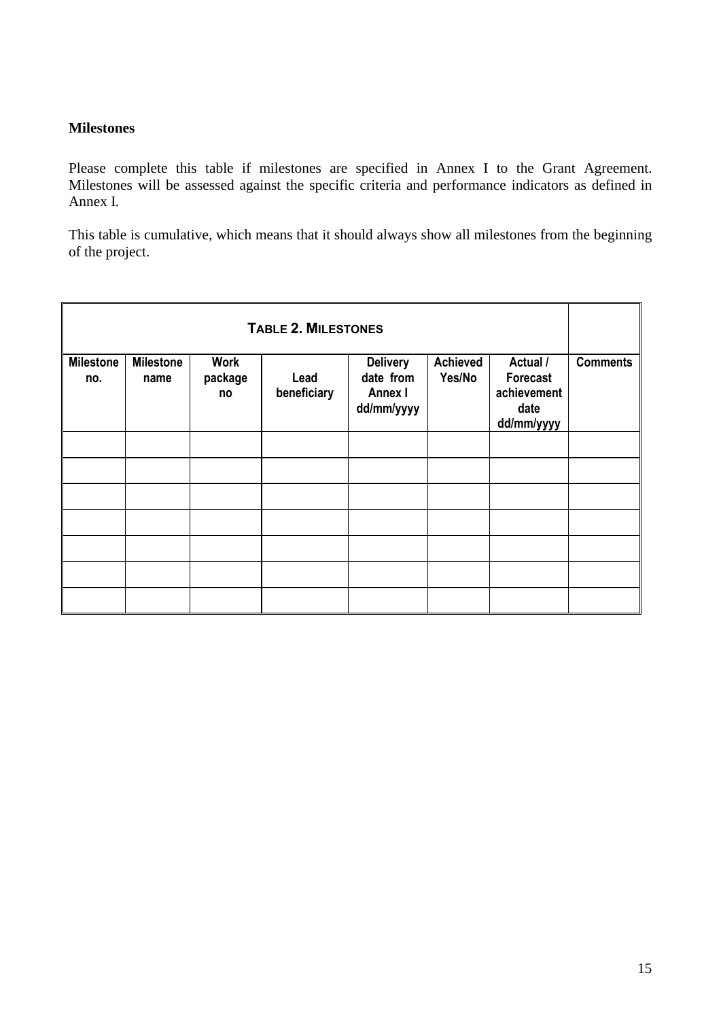### **Milestones**

Please complete this table if milestones are specified in Annex I to the Grant Agreement. Milestones will be assessed against the specific criteria and performance indicators as defined in Annex I*.* 

This table is cumulative, which means that it should always show all milestones from the beginning of the project.

| <b>TABLE 2. MILESTONES</b> |                          |                              |                     |                                                       |                           |                                                           |                 |
|----------------------------|--------------------------|------------------------------|---------------------|-------------------------------------------------------|---------------------------|-----------------------------------------------------------|-----------------|
| <b>Milestone</b><br>no.    | <b>Milestone</b><br>name | <b>Work</b><br>package<br>no | Lead<br>beneficiary | <b>Delivery</b><br>date from<br>Annex I<br>dd/mm/yyyy | <b>Achieved</b><br>Yes/No | Actual /<br>Forecast<br>achievement<br>date<br>dd/mm/yyyy | <b>Comments</b> |
|                            |                          |                              |                     |                                                       |                           |                                                           |                 |
|                            |                          |                              |                     |                                                       |                           |                                                           |                 |
|                            |                          |                              |                     |                                                       |                           |                                                           |                 |
|                            |                          |                              |                     |                                                       |                           |                                                           |                 |
|                            |                          |                              |                     |                                                       |                           |                                                           |                 |
|                            |                          |                              |                     |                                                       |                           |                                                           |                 |
|                            |                          |                              |                     |                                                       |                           |                                                           |                 |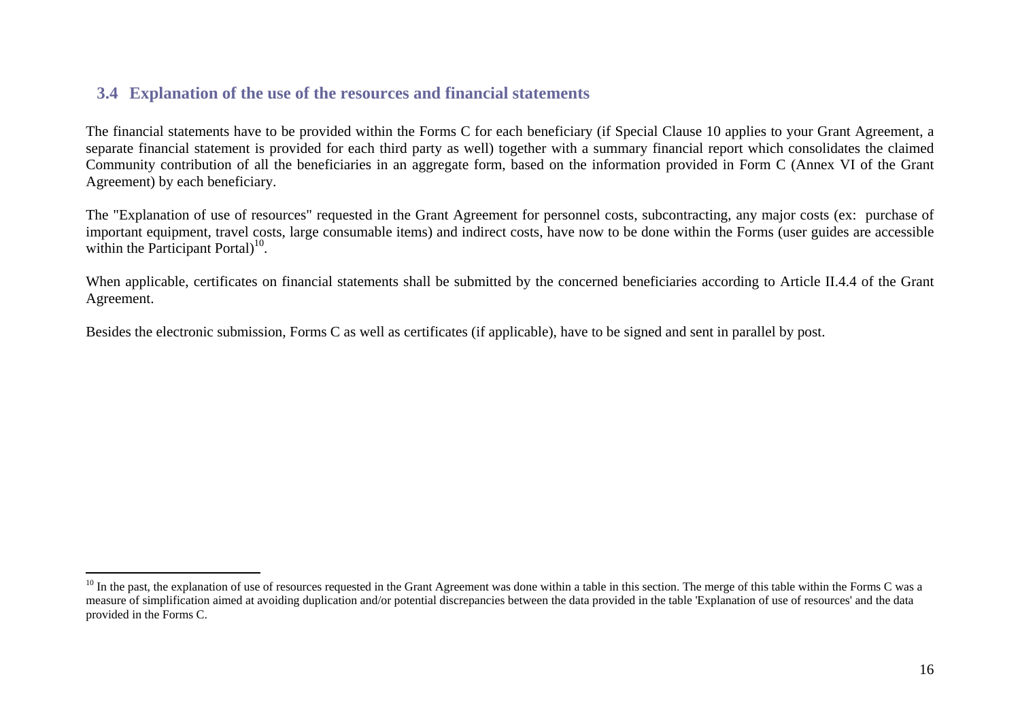# **3.4 Explanation of the use of the resources and financial statements**

The financial statements have to be provided within the Forms C for each beneficiary (if Special Clause 10 applies to your Grant Agreement, a separate financial statement is provided for each third party as well) together with a summary financial report which consolidates the claimed Community contribution of all the beneficiaries in an aggregate form, based on the information provided in Form C (Annex VI of the Grant Agreement) by each beneficiary.

The "Explanation of use of resources" requested in the Grant Agreement for personnel costs, subcontracting, any major costs (ex: purchase of important equipment, travel costs, large consumable items) and indirect costs, have now to be done within the Forms (user guides are accessible within the Participant Portal $1^{10}$ .

When applicable, certificates on financial statements shall be submitted by the concerned beneficiaries according to Article II.4.4 of the Grant Agreement.

Besides the electronic submission, Forms C as well as certificates (if applicable), have to be signed and sent in parallel by post.

<span id="page-15-0"></span><sup>&</sup>lt;sup>10</sup> In the past, the explanation of use of resources requested in the Grant Agreement was done within a table in this section. The merge of this table within the Forms C was a measure of simplification aimed at avoiding duplication and/or potential discrepancies between the data provided in the table 'Explanation of use of resources' and the data provided in the Forms C.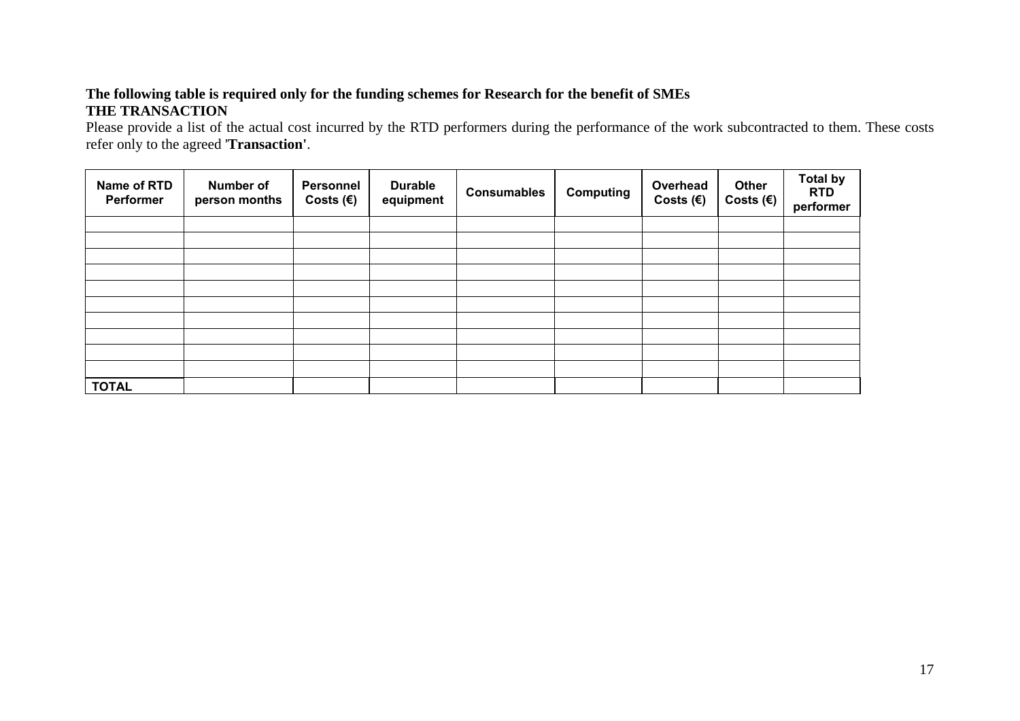### **The following table is required only for the funding schemes for Research for the benefit of SMEs THE TRANSACTION**

Please provide a list of the actual cost incurred by the RTD performers during the performance of the work subcontracted to them. These costs refer only to the agreed '**Transaction'**.

| Name of RTD<br>Performer | Number of<br>person months | Personnel<br>Costs $(\epsilon)$ | <b>Durable</b><br>equipment | <b>Consumables</b> | <b>Computing</b> | Overhead<br>Costs $(\epsilon)$ | Other<br>Costs $(\epsilon)$ | <b>Total by</b><br><b>RTD</b><br>performer |
|--------------------------|----------------------------|---------------------------------|-----------------------------|--------------------|------------------|--------------------------------|-----------------------------|--------------------------------------------|
|                          |                            |                                 |                             |                    |                  |                                |                             |                                            |
|                          |                            |                                 |                             |                    |                  |                                |                             |                                            |
|                          |                            |                                 |                             |                    |                  |                                |                             |                                            |
|                          |                            |                                 |                             |                    |                  |                                |                             |                                            |
|                          |                            |                                 |                             |                    |                  |                                |                             |                                            |
|                          |                            |                                 |                             |                    |                  |                                |                             |                                            |
|                          |                            |                                 |                             |                    |                  |                                |                             |                                            |
|                          |                            |                                 |                             |                    |                  |                                |                             |                                            |
|                          |                            |                                 |                             |                    |                  |                                |                             |                                            |
|                          |                            |                                 |                             |                    |                  |                                |                             |                                            |
| <b>TOTAL</b>             |                            |                                 |                             |                    |                  |                                |                             |                                            |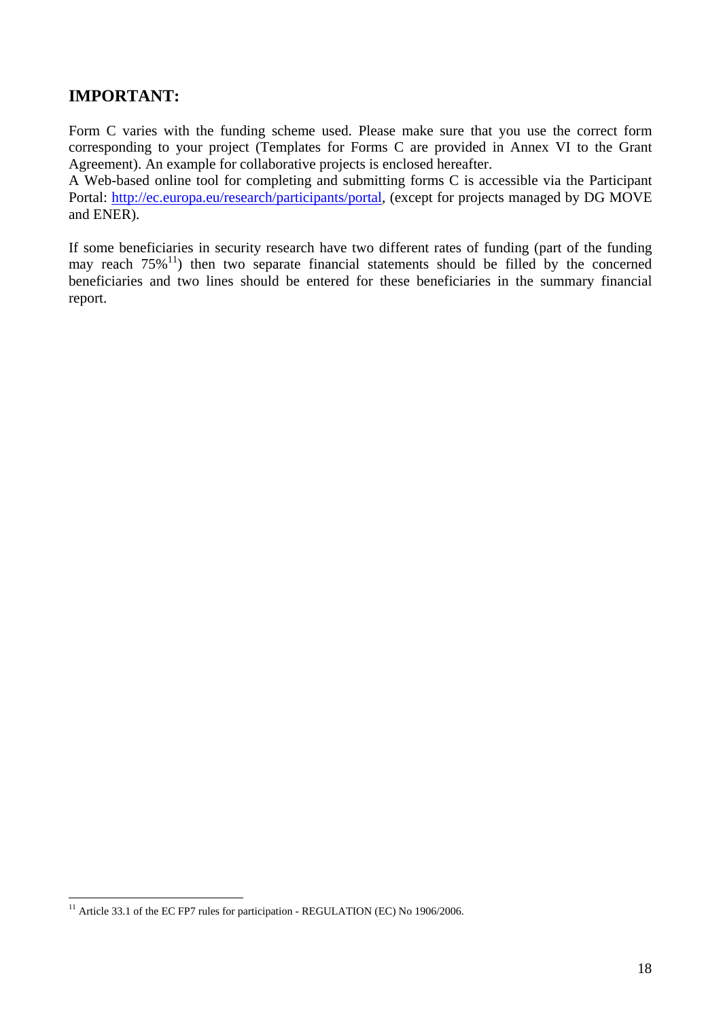# **IMPORTANT:**

Form C varies with the funding scheme used. Please make sure that you use the correct form corresponding to your project (Templates for Forms C are provided in Annex VI to the Grant Agreement). An example for collaborative projects is enclosed hereafter.

A Web-based online tool for completing and submitting forms C is accessible via the Participant Portal: [http://ec.europa.eu/research/participants/portal,](http://ec.europa.eu/research/participants/portal) (except for projects managed by DG MOVE and ENER).

If some beneficiaries in security research have two different rates of funding (part of the funding may reach  $75\%$ <sup>11</sup>) then two separate financial statements should be filled by the concerned beneficiaries and two lines should be entered for these beneficiaries in the summary financial report.

 $\overline{a}$  $11$  Article 33.1 of the EC FP7 rules for participation - REGULATION (EC) No 1906/2006.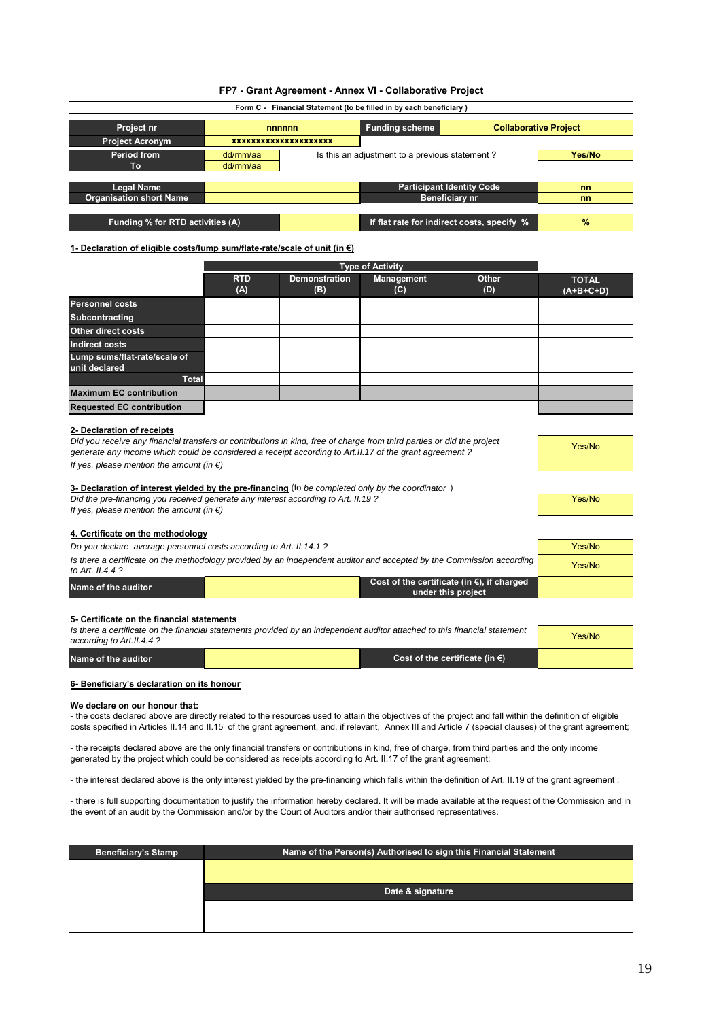#### **FP7 - Grant Agreement - Annex VI - Collaborative Project**

| Form C - Financial Statement (to be filled in by each beneficiary)            |                      |                              |                                                |                                  |        |  |  |
|-------------------------------------------------------------------------------|----------------------|------------------------------|------------------------------------------------|----------------------------------|--------|--|--|
| <b>Collaborative Project</b><br><b>Funding scheme</b><br>Project nr<br>nnnnnn |                      |                              |                                                |                                  |        |  |  |
| <b>Project Acronym</b>                                                        |                      | <b>XXXXXXXXXXXXXXXXXXXXX</b> |                                                |                                  |        |  |  |
| <b>Period from</b><br>Τо                                                      | dd/mm/aa<br>dd/mm/aa |                              | Is this an adjustment to a previous statement? |                                  | Yes/No |  |  |
|                                                                               |                      |                              |                                                |                                  |        |  |  |
| <b>Legal Name</b>                                                             |                      |                              |                                                | <b>Participant Identity Code</b> | nn     |  |  |
| <b>Organisation short Name</b>                                                |                      |                              |                                                | Beneficiary nr                   | nn     |  |  |
|                                                                               |                      |                              |                                                |                                  |        |  |  |
| Funding % for RTD activities (A)                                              |                      |                              | If flat rate for indirect costs, specify %     | $\frac{9}{6}$                    |        |  |  |

#### **1- Declaration of eligible costs/lump sum/flate-rate/scale of unit (in €)**

|                                               |                   | <b>Type of Activity</b>     |                   |              |                             |  |  |
|-----------------------------------------------|-------------------|-----------------------------|-------------------|--------------|-----------------------------|--|--|
|                                               | <b>RTD</b><br>(A) | <b>Demonstration</b><br>(B) | Management<br>(C) | Other<br>(D) | <b>TOTAL</b><br>$(A+B+C+D)$ |  |  |
| <b>Personnel costs</b>                        |                   |                             |                   |              |                             |  |  |
| <b>Subcontracting</b>                         |                   |                             |                   |              |                             |  |  |
| Other direct costs                            |                   |                             |                   |              |                             |  |  |
| Indirect costs                                |                   |                             |                   |              |                             |  |  |
| Lump sums/flat-rate/scale of<br>unit declared |                   |                             |                   |              |                             |  |  |
| <b>Total</b>                                  |                   |                             |                   |              |                             |  |  |
| <b>Maximum EC contribution</b>                |                   |                             |                   |              |                             |  |  |
| <b>Requested EC contribution</b>              |                   |                             |                   |              |                             |  |  |

#### **2- Declaration of receipts**

| Did you receive any financial transfers or contributions in kind, free of charge from third parties or did the project |
|------------------------------------------------------------------------------------------------------------------------|
| generate any income which could be considered a receipt according to Art.II.17 of the grant agreement?                 |
| If yes, please mention the amount (in $\epsilon$ )                                                                     |

| Yes/No |  |
|--------|--|
|        |  |

#### Did the pre-financing you received generate any interest according to Art. II.19 ? **3- Declaration of interest yielded by the pre-financing** (to *be completed only by the coordinator* )

*If yes, please mention the amount (in €)*

#### **4. Certificate on the methodology**

| Do you declare average personnel costs according to Art. II.14.1 ?                                                                        | Yes/No |                                                                            |  |
|-------------------------------------------------------------------------------------------------------------------------------------------|--------|----------------------------------------------------------------------------|--|
| Is there a certificate on the methodology provided by an independent auditor and accepted by the Commission according<br>to Art. II.4.4 ? | Yes/No |                                                                            |  |
| Name of the auditor                                                                                                                       |        | Cost of the certificate (in $\epsilon$ ), if charged<br>under this project |  |

#### **5- Certificate on the financial statements**

| Is there a certificate on the financial statements provided by an independent auditor attached to this financial statement<br>according to Art. II.4.4? | Yes/No |                                          |  |
|---------------------------------------------------------------------------------------------------------------------------------------------------------|--------|------------------------------------------|--|
| Name of the auditor                                                                                                                                     |        | Cost of the certificate (in $\epsilon$ ) |  |

#### **6- Beneficiary's declaration on its honour**

#### **We declare on our honour that:**

- the costs declared above are directly related to the resources used to attain the objectives of the project and fall within the definition of eligible costs specified in Articles II.14 and II.15 of the grant agreement, and, if relevant, Annex III and Article 7 (special clauses) of the grant agreement;

- the receipts declared above are the only financial transfers or contributions in kind, free of charge, from third parties and the only income generated by the project which could be considered as receipts according to Art. II.17 of the grant agreement;

- the interest declared above is the only interest yielded by the pre-financing which falls within the definition of Art. II.19 of the grant agreement;

- there is full supporting documentation to justify the information hereby declared. It will be made available at the request of the Commission and in the event of an audit by the Commission and/or by the Court of Auditors and/or their authorised representatives.

| <b>Beneficiary's Stamp</b> | Name of the Person(s) Authorised to sign this Financial Statement |
|----------------------------|-------------------------------------------------------------------|
|                            |                                                                   |
|                            | Date & signature                                                  |
|                            |                                                                   |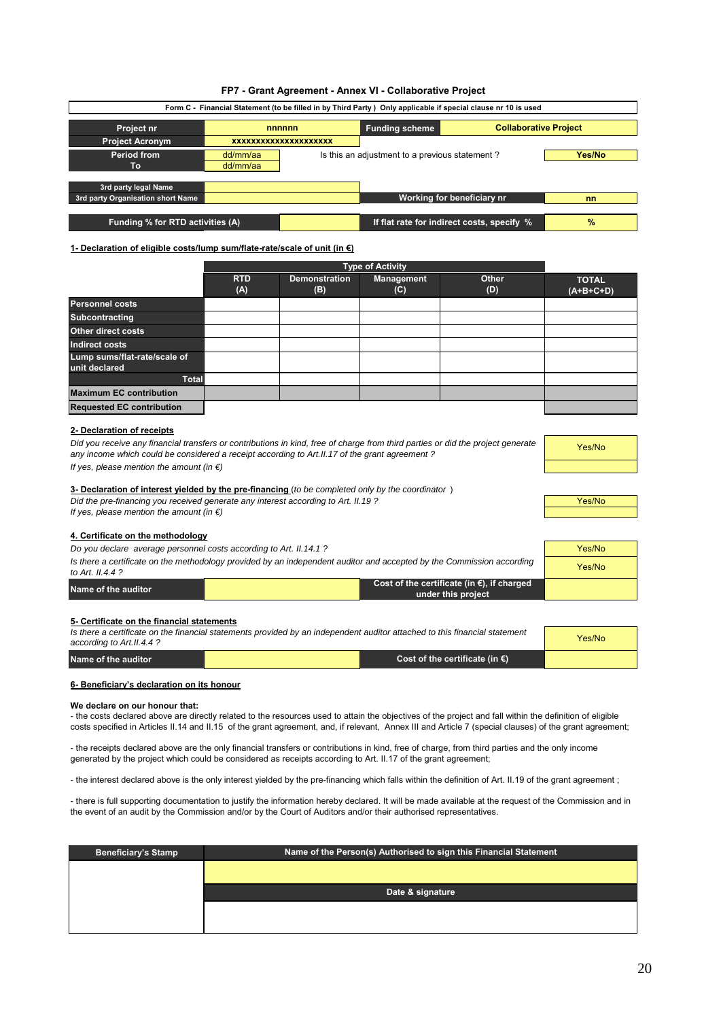|  | FP7 - Grant Agreement - Annex VI - Collaborative Project |  |  |  |
|--|----------------------------------------------------------|--|--|--|
|--|----------------------------------------------------------|--|--|--|

| Form C - Financial Statement (to be filled in by Third Party) Only applicable if special clause nr 10 is used |          |                                                |                       |                                            |               |  |  |
|---------------------------------------------------------------------------------------------------------------|----------|------------------------------------------------|-----------------------|--------------------------------------------|---------------|--|--|
| Project nr                                                                                                    | nnnnnn   |                                                | <b>Funding scheme</b> | <b>Collaborative Project</b>               |               |  |  |
| <b>Project Acronym</b>                                                                                        |          | <b>XXXXXXXXXXXXXXXXXXXXX</b>                   |                       |                                            |               |  |  |
| <b>Period from</b>                                                                                            | dd/mm/aa | Is this an adjustment to a previous statement? | Yes/No                |                                            |               |  |  |
| To                                                                                                            | dd/mm/aa |                                                |                       |                                            |               |  |  |
|                                                                                                               |          |                                                |                       |                                            |               |  |  |
| 3rd party legal Name<br>3rd party Organisation short Name                                                     |          |                                                |                       | Working for beneficiary nr                 | nn            |  |  |
|                                                                                                               |          |                                                |                       |                                            |               |  |  |
| Funding % for RTD activities (A)                                                                              |          |                                                |                       | If flat rate for indirect costs, specify % | $\frac{9}{6}$ |  |  |

#### **1- Declaration of eligible costs/lump sum/flate-rate/scale of unit (in €)**

|                                               |                   | Type of Activity            |                   |              |                             |  |  |  |  |  |
|-----------------------------------------------|-------------------|-----------------------------|-------------------|--------------|-----------------------------|--|--|--|--|--|
|                                               | <b>RTD</b><br>(A) | <b>Demonstration</b><br>(B) | Management<br>(C) | Other<br>(D) | <b>TOTAL</b><br>$(A+B+C+D)$ |  |  |  |  |  |
| <b>Personnel costs</b>                        |                   |                             |                   |              |                             |  |  |  |  |  |
| <b>Subcontracting</b>                         |                   |                             |                   |              |                             |  |  |  |  |  |
| <b>Other direct costs</b>                     |                   |                             |                   |              |                             |  |  |  |  |  |
| <b>Indirect costs</b>                         |                   |                             |                   |              |                             |  |  |  |  |  |
| Lump sums/flat-rate/scale of<br>unit declared |                   |                             |                   |              |                             |  |  |  |  |  |
| <b>Total</b>                                  |                   |                             |                   |              |                             |  |  |  |  |  |
| <b>Maximum EC contribution</b>                |                   |                             |                   |              |                             |  |  |  |  |  |
| <b>Requested EC contribution</b>              |                   |                             |                   |              |                             |  |  |  |  |  |
|                                               |                   |                             |                   |              |                             |  |  |  |  |  |

#### **2- Declaration of receipts**

*If yes, please mention the amount (in €) Did you receive any financial transfers or contributions in kind, free of charge from third parties or did the project generate any income which could be considered a receipt according to Art.II.17 of the grant agreement ?*

| Yes/No |  |
|--------|--|
|        |  |

Yes/No

#### **3- Declaration of interest yielded by the pre-financing** (*to be completed only by the coordinator* )

Did the pre-financing you received generate any interest according to Art. II.19 ?

*If yes, please mention the amount (in €)*

#### **4. Certificate on the methodology**

*Do you declare average personnel costs according to Art. II.14.1 ?*

| Is there a certificate on the methodology provided by an independent auditor and accepted by the Commission according<br>to Art. $II.44$ ? |                                                           |  |  |  |
|--------------------------------------------------------------------------------------------------------------------------------------------|-----------------------------------------------------------|--|--|--|
| Name of the auditor                                                                                                                        | Cost of the certificate (in $\epsilon$ ), if charged<br>. |  |  |  |

#### **5- Certificate on the financial statements**

| Is there a certificate on the financial statements provided by an independent auditor attached to this financial statement<br>according to Art. II.4.4 ? | Yes/No |                                          |  |
|----------------------------------------------------------------------------------------------------------------------------------------------------------|--------|------------------------------------------|--|
| Name of the auditor                                                                                                                                      |        | Cost of the certificate (in $\epsilon$ ) |  |

**under this project**

#### **6- Beneficiary's declaration on its honour**

#### **We declare on our honour that:**

- the costs declared above are directly related to the resources used to attain the objectives of the project and fall within the definition of eligible costs specified in Articles II.14 and II.15 of the grant agreement, and, if relevant, Annex III and Article 7 (special clauses) of the grant agreement;

- the receipts declared above are the only financial transfers or contributions in kind, free of charge, from third parties and the only income generated by the project which could be considered as receipts according to Art. II.17 of the grant agreement;

- the interest declared above is the only interest yielded by the pre-financing which falls within the definition of Art. II.19 of the grant agreement ;

- there is full supporting documentation to justify the information hereby declared. It will be made available at the request of the Commission and in the event of an audit by the Commission and/or by the Court of Auditors and/or their authorised representatives.

| Name of the Person(s) Authorised to sign this Financial Statement |
|-------------------------------------------------------------------|
|                                                                   |
| Date & signature                                                  |
|                                                                   |
|                                                                   |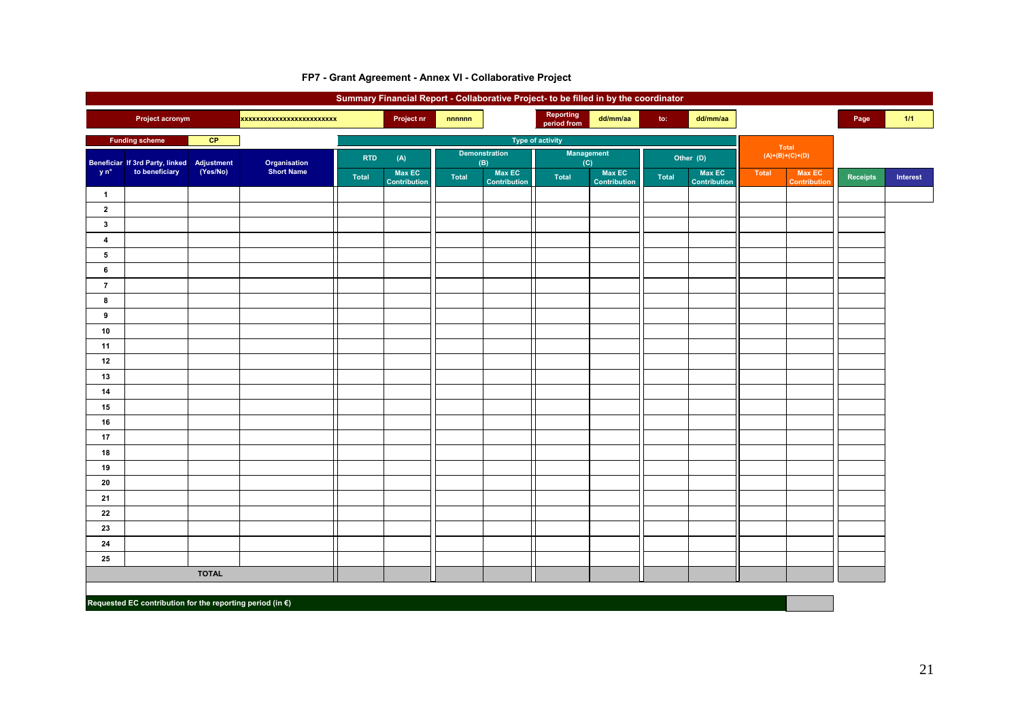|                         |                                            |              |                         |              |                        |       |                             | Summary Financial Report - Collaborative Project- to be filled in by the coordinator |                        |              |                        |       |                                      |                 |          |
|-------------------------|--------------------------------------------|--------------|-------------------------|--------------|------------------------|-------|-----------------------------|--------------------------------------------------------------------------------------|------------------------|--------------|------------------------|-------|--------------------------------------|-----------------|----------|
|                         | <b>Project acronym</b>                     |              | xxxxxxxxxxxxxxxxxxxxxxx |              | Project nr             | nnnnn |                             | Reporting<br>period from                                                             | dd/mm/aa               | to:          | dd/mm/aa               |       |                                      | Page            | 1/1      |
|                         | <b>Funding scheme</b>                      | CP           |                         |              |                        |       |                             | <b>Type of activity</b>                                                              |                        |              |                        |       |                                      |                 |          |
|                         | Beneficiar If 3rd Party, linked Adjustment |              | Organisation            | <b>RTD</b>   | (A)                    |       | <b>Demonstration</b><br>(B) | <b>Management</b><br>$\overline{(\mathbf{C})}$                                       |                        |              | Other (D)              |       | Total<br>$(A)+(B)+(C)+(D)$           |                 |          |
| y n°                    | to beneficiary                             | (Yes/No)     | <b>Short Name</b>       | <b>Total</b> | Max EC<br>Contribution | Total | Max EC<br>Contribution      | <b>Total</b>                                                                         | Max EC<br>Contribution | <b>Total</b> | Max EC<br>Contribution | Total | <b>Max EC</b><br><b>Contribution</b> | <b>Receipts</b> | Interest |
| $\overline{1}$          |                                            |              |                         |              |                        |       |                             |                                                                                      |                        |              |                        |       |                                      |                 |          |
| $\mathbf{2}$            |                                            |              |                         |              |                        |       |                             |                                                                                      |                        |              |                        |       |                                      |                 |          |
| $\mathbf{3}$            |                                            |              |                         |              |                        |       |                             |                                                                                      |                        |              |                        |       |                                      |                 |          |
| $\overline{\mathbf{4}}$ |                                            |              |                         |              |                        |       |                             |                                                                                      |                        |              |                        |       |                                      |                 |          |
| 5                       |                                            |              |                         |              |                        |       |                             |                                                                                      |                        |              |                        |       |                                      |                 |          |
| 6                       |                                            |              |                         |              |                        |       |                             |                                                                                      |                        |              |                        |       |                                      |                 |          |
| $\overline{7}$          |                                            |              |                         |              |                        |       |                             |                                                                                      |                        |              |                        |       |                                      |                 |          |
| 8                       |                                            |              |                         |              |                        |       |                             |                                                                                      |                        |              |                        |       |                                      |                 |          |
| 9                       |                                            |              |                         |              |                        |       |                             |                                                                                      |                        |              |                        |       |                                      |                 |          |
| 10                      |                                            |              |                         |              |                        |       |                             |                                                                                      |                        |              |                        |       |                                      |                 |          |
| 11                      |                                            |              |                         |              |                        |       |                             |                                                                                      |                        |              |                        |       |                                      |                 |          |
| 12                      |                                            |              |                         |              |                        |       |                             |                                                                                      |                        |              |                        |       |                                      |                 |          |
| 13                      |                                            |              |                         |              |                        |       |                             |                                                                                      |                        |              |                        |       |                                      |                 |          |
| 14                      |                                            |              |                         |              |                        |       |                             |                                                                                      |                        |              |                        |       |                                      |                 |          |
| 15                      |                                            |              |                         |              |                        |       |                             |                                                                                      |                        |              |                        |       |                                      |                 |          |
| 16                      |                                            |              |                         |              |                        |       |                             |                                                                                      |                        |              |                        |       |                                      |                 |          |
| 17                      |                                            |              |                         |              |                        |       |                             |                                                                                      |                        |              |                        |       |                                      |                 |          |
| 18                      |                                            |              |                         |              |                        |       |                             |                                                                                      |                        |              |                        |       |                                      |                 |          |
| 19<br>20                |                                            |              |                         |              |                        |       |                             |                                                                                      |                        |              |                        |       |                                      |                 |          |
| 21                      |                                            |              |                         |              |                        |       |                             |                                                                                      |                        |              |                        |       |                                      |                 |          |
| 22                      |                                            |              |                         |              |                        |       |                             |                                                                                      |                        |              |                        |       |                                      |                 |          |
| 23                      |                                            |              |                         |              |                        |       |                             |                                                                                      |                        |              |                        |       |                                      |                 |          |
| 24                      |                                            |              |                         |              |                        |       |                             |                                                                                      |                        |              |                        |       |                                      |                 |          |
| 25                      |                                            |              |                         |              |                        |       |                             |                                                                                      |                        |              |                        |       |                                      |                 |          |
|                         |                                            | <b>TOTAL</b> |                         |              |                        |       |                             |                                                                                      |                        |              |                        |       |                                      |                 |          |
|                         |                                            |              |                         |              |                        |       |                             |                                                                                      |                        |              |                        |       |                                      |                 |          |

#### **FP7 - Grant Agreement - Annex VI - Collaborative Project**

**Requested EC contribution for the reporting period (in €)**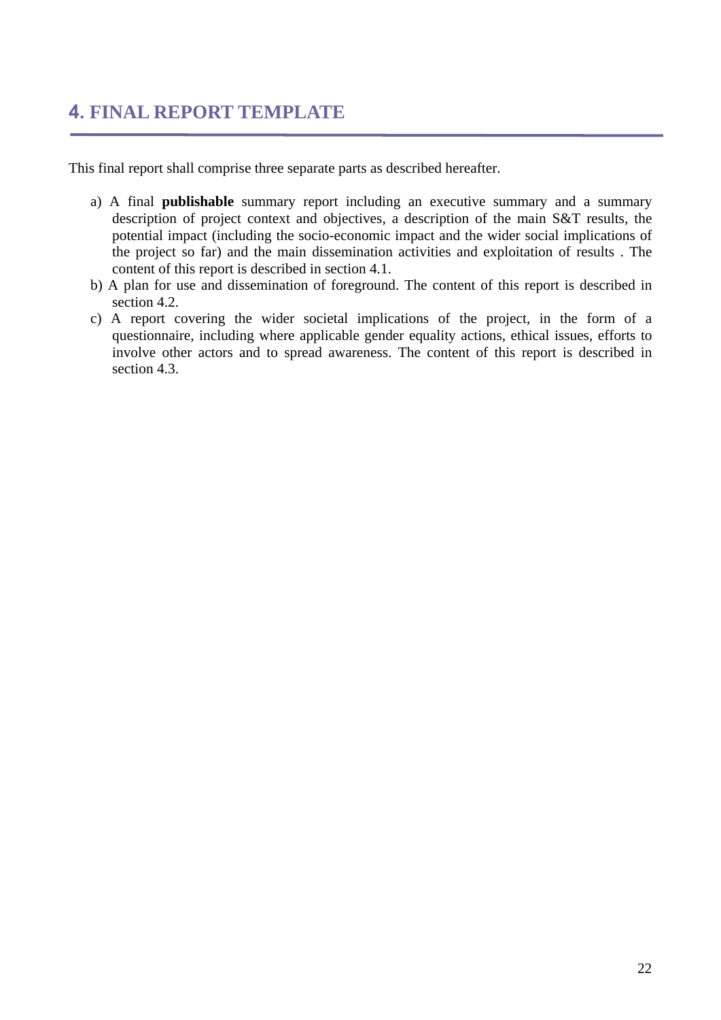# <span id="page-21-0"></span>**4. FINAL REPORT TEMPLATE**

This final report shall comprise three separate parts as described hereafter.

- a) A final **publishable** summary report including an executive summary and a summary description of project context and objectives, a description of the main S&T results, the potential impact (including the socio-economic impact and the wider social implications of the project so far) and the main dissemination activities and exploitation of results . The content of this report is described in section 4.1.
- b) A plan for use and dissemination of foreground. The content of this report is described in section 4.2.
- c) A report covering the wider societal implications of the project, in the form of a questionnaire, including where applicable gender equality actions, ethical issues, efforts to involve other actors and to spread awareness. The content of this report is described in section 4.3.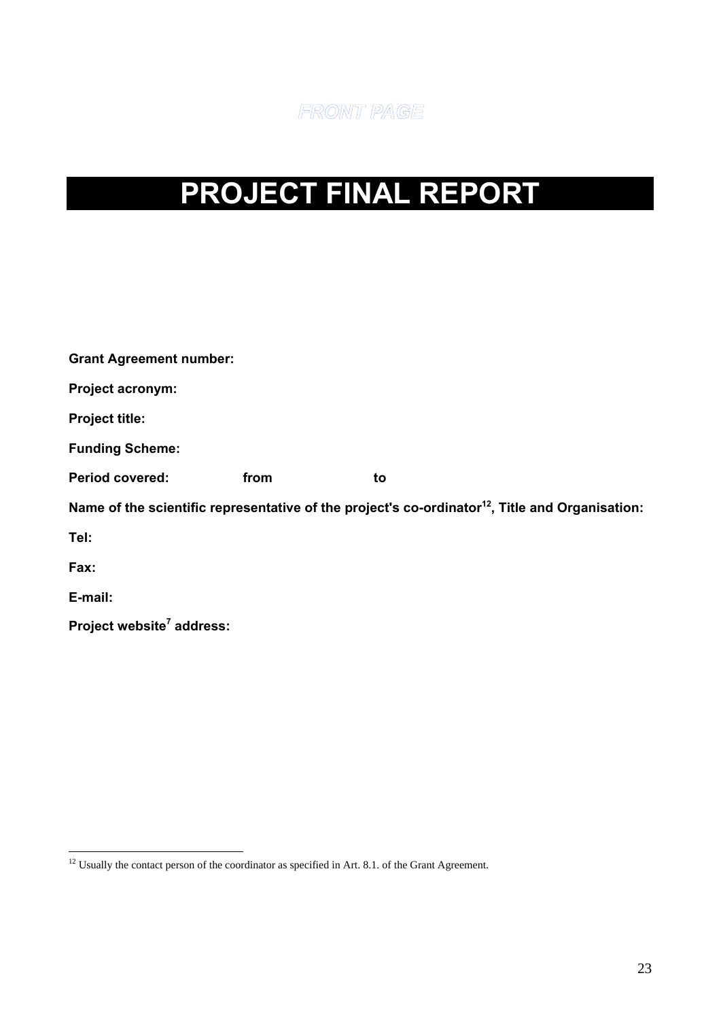

# <span id="page-22-0"></span>**PROJECT FINAL REPORT**

| <b>Grant Agreement number:</b>        |      |                                                                                                             |  |
|---------------------------------------|------|-------------------------------------------------------------------------------------------------------------|--|
| Project acronym:                      |      |                                                                                                             |  |
| <b>Project title:</b>                 |      |                                                                                                             |  |
| <b>Funding Scheme:</b>                |      |                                                                                                             |  |
| <b>Period covered:</b>                | from | to                                                                                                          |  |
|                                       |      | Name of the scientific representative of the project's co-ordinator <sup>12</sup> , Title and Organisation: |  |
| Tel:                                  |      |                                                                                                             |  |
| Fax:                                  |      |                                                                                                             |  |
| E-mail:                               |      |                                                                                                             |  |
| Project website <sup>7</sup> address: |      |                                                                                                             |  |
|                                       |      |                                                                                                             |  |

 $\overline{a}$  $12$  Usually the contact person of the coordinator as specified in Art. 8.1. of the Grant Agreement.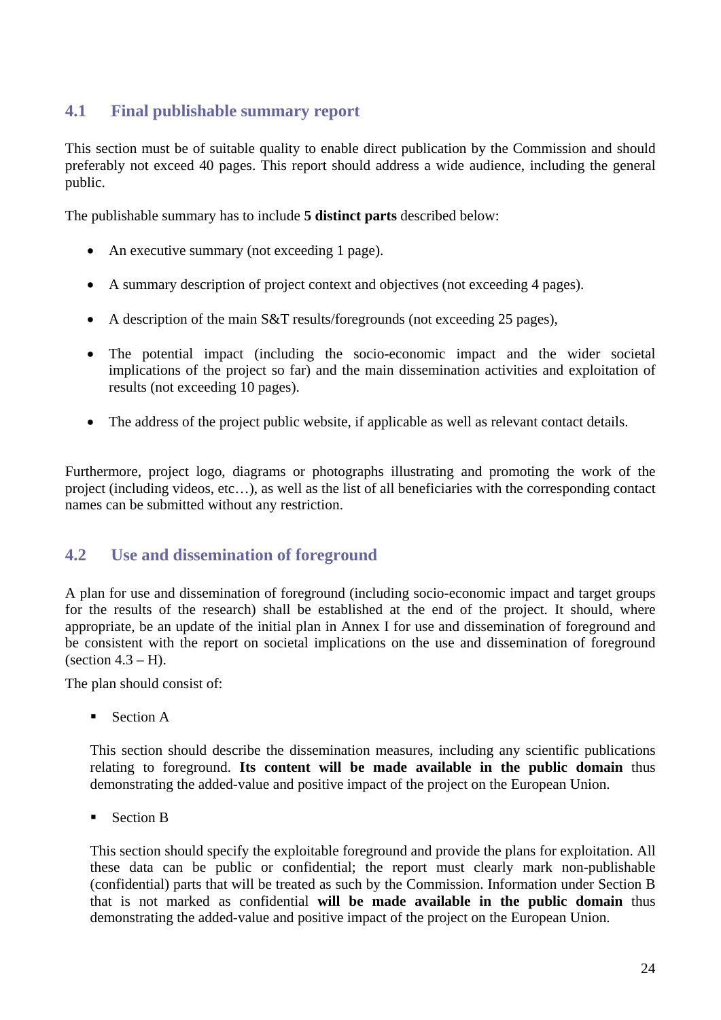# <span id="page-23-0"></span>**4.1 Final publishable summary report**

This section must be of suitable quality to enable direct publication by the Commission and should preferably not exceed 40 pages. This report should address a wide audience, including the general public.

The publishable summary has to include **5 distinct parts** described below:

- An executive summary (not exceeding 1 page).
- A summary description of project context and objectives (not exceeding 4 pages).
- A description of the main S&T results/foregrounds (not exceeding 25 pages),
- The potential impact (including the socio-economic impact and the wider societal implications of the project so far) and the main dissemination activities and exploitation of results (not exceeding 10 pages).
- The address of the project public website, if applicable as well as relevant contact details.

Furthermore, project logo, diagrams or photographs illustrating and promoting the work of the project (including videos, etc…), as well as the list of all beneficiaries with the corresponding contact names can be submitted without any restriction.

### <span id="page-23-1"></span>**4.2 Use and dissemination of foreground**

A plan for use and dissemination of foreground (including socio-economic impact and target groups for the results of the research) shall be established at the end of the project. It should, where appropriate, be an update of the initial plan in Annex I for use and dissemination of foreground and be consistent with the report on societal implications on the use and dissemination of foreground (section  $4.3 - H$ ).

The plan should consist of:

■ Section A

This section should describe the dissemination measures, including any scientific publications relating to foreground. **Its content will be made available in the public domain** thus demonstrating the added-value and positive impact of the project on the European Union.

Section B

This section should specify the exploitable foreground and provide the plans for exploitation. All these data can be public or confidential; the report must clearly mark non-publishable (confidential) parts that will be treated as such by the Commission. Information under Section B that is not marked as confidential **will be made available in the public domain** thus demonstrating the added-value and positive impact of the project on the European Union.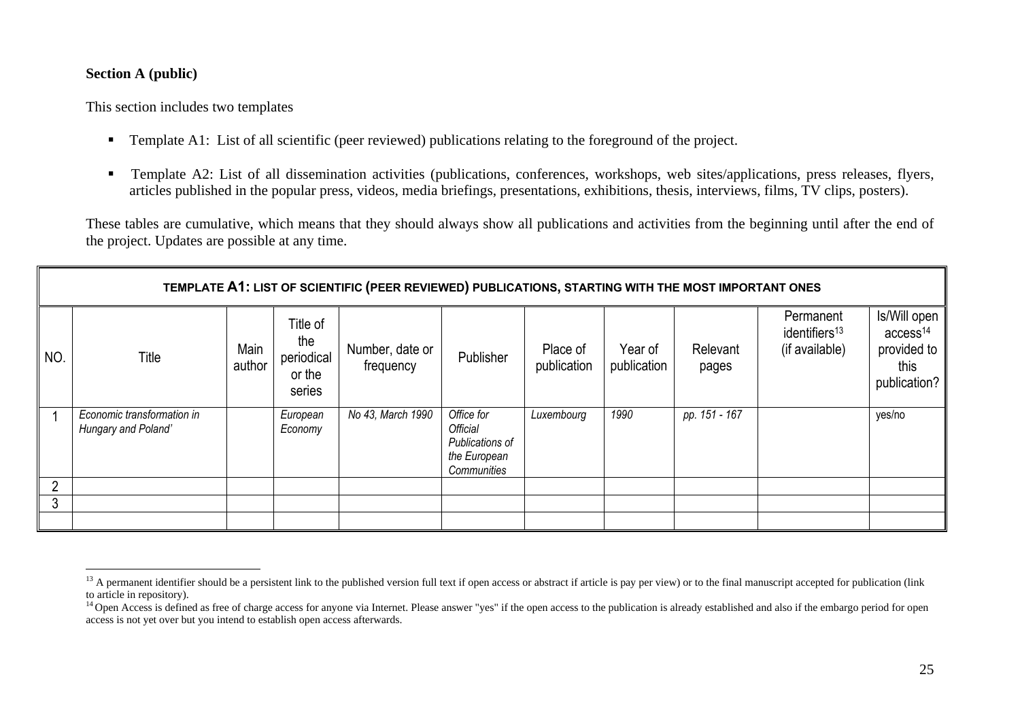### **Section A (public)**

This section includes two templates

- **Template A1:** List of all scientific (peer reviewed) publications relating to the foreground of the project.
- Template A2: List of all dissemination activities (publications, conferences, workshops, web sites/applications, press releases, flyers, articles published in the popular press, videos, media briefings, presentations, exhibitions, thesis, interviews, films, TV clips, posters).

These tables are cumulative, which means that they should always show all publications and activities from the beginning until after the end of the project. Updates are possible at any time.

|     | TEMPLATE A1: LIST OF SCIENTIFIC (PEER REVIEWED) PUBLICATIONS, STARTING WITH THE MOST IMPORTANT ONES |                |                                                   |                              |                                                                          |                         |                        |                   |                                                          |                                                                             |
|-----|-----------------------------------------------------------------------------------------------------|----------------|---------------------------------------------------|------------------------------|--------------------------------------------------------------------------|-------------------------|------------------------|-------------------|----------------------------------------------------------|-----------------------------------------------------------------------------|
| NO. | Title                                                                                               | Main<br>author | Title of<br>the<br>periodical<br>or the<br>series | Number, date or<br>frequency | Publisher                                                                | Place of<br>publication | Year of<br>publication | Relevant<br>pages | Permanent<br>identifiers <sup>13</sup><br>(if available) | Is/Will open<br>access <sup>14</sup><br>provided to<br>this<br>publication? |
|     | Economic transformation in<br>Hungary and Poland'                                                   |                | European<br>Economy                               | No 43, March 1990            | Office for<br>Official<br>Publications of<br>the European<br>Communities | Luxembourg              | 1990                   | pp. 151 - 167     |                                                          | yes/no                                                                      |
|     |                                                                                                     |                |                                                   |                              |                                                                          |                         |                        |                   |                                                          |                                                                             |
| 3   |                                                                                                     |                |                                                   |                              |                                                                          |                         |                        |                   |                                                          |                                                                             |
|     |                                                                                                     |                |                                                   |                              |                                                                          |                         |                        |                   |                                                          |                                                                             |

<sup>&</sup>lt;sup>13</sup> A permanent identifier should be a persistent link to the published version full text if open access or abstract if article is pay per view) or to the final manuscript accepted for publication (link to article in repository).

<sup>&</sup>lt;sup>14</sup> Open Access is defined as free of charge access for anyone via Internet. Please answer "yes" if the open access to the publication is already established and also if the embargo period for open access is not yet over but you intend to establish open access afterwards.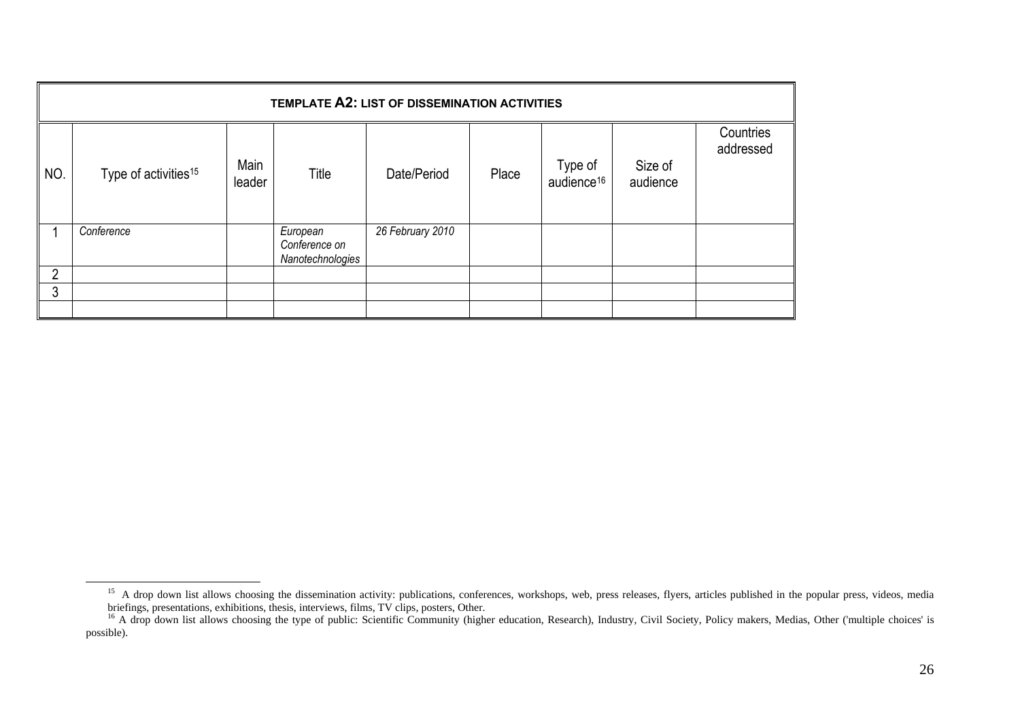|                | TEMPLATE A2: LIST OF DISSEMINATION ACTIVITIES |                |                                               |                  |       |                                   |                     |                        |
|----------------|-----------------------------------------------|----------------|-----------------------------------------------|------------------|-------|-----------------------------------|---------------------|------------------------|
| NO.            | Type of activities <sup>15</sup>              | Main<br>leader | Title                                         | Date/Period      | Place | Type of<br>audience <sup>16</sup> | Size of<br>audience | Countries<br>addressed |
|                | Conference                                    |                | European<br>Conference on<br>Nanotechnologies | 26 February 2010 |       |                                   |                     |                        |
| $\overline{2}$ |                                               |                |                                               |                  |       |                                   |                     |                        |
| 3              |                                               |                |                                               |                  |       |                                   |                     |                        |
|                |                                               |                |                                               |                  |       |                                   |                     |                        |

<sup>&</sup>lt;sup>15</sup> A drop down list allows choosing the dissemination activity: publications, conferences, workshops, web, press releases, flyers, articles published in the popular press, videos, media briefings, presentations, exhibitions, thesis, interviews, films, TV clips, posters, Other.

<sup>&</sup>lt;sup>16</sup> A drop down list allows choosing the type of public: Scientific Community (higher education, Research), Industry, Civil Society, Policy makers, Medias, Other ('multiple choices' is possible).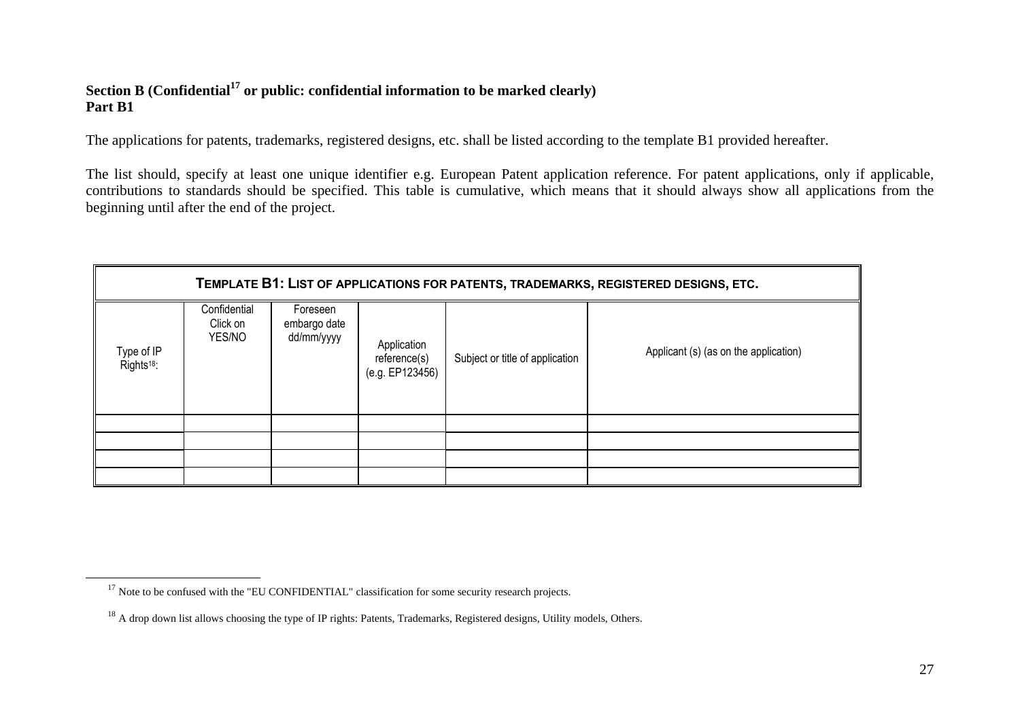### **Section B (Confidential17 or public: confidential information to be marked clearly) Part B1**

The applications for patents, trademarks, registered designs, etc. shall be listed according to the template B1 provided hereafter.

The list should, specify at least one unique identifier e.g. European Patent application reference. For patent applications, only if applicable, contributions to standards should be specified. This table is cumulative, which means that it should always show all applications from the beginning until after the end of the project.

|                                      |                                    |                                        |                                                |                                 | TEMPLATE B1: LIST OF APPLICATIONS FOR PATENTS, TRADEMARKS, REGISTERED DESIGNS, ETC. |
|--------------------------------------|------------------------------------|----------------------------------------|------------------------------------------------|---------------------------------|-------------------------------------------------------------------------------------|
| Type of IP<br>Rights <sup>18</sup> : | Confidential<br>Click on<br>YES/NO | Foreseen<br>embargo date<br>dd/mm/yyyy | Application<br>reference(s)<br>(e.g. EP123456) | Subject or title of application | Applicant (s) (as on the application)                                               |
|                                      |                                    |                                        |                                                |                                 |                                                                                     |
|                                      |                                    |                                        |                                                |                                 |                                                                                     |
|                                      |                                    |                                        |                                                |                                 |                                                                                     |
|                                      |                                    |                                        |                                                |                                 |                                                                                     |

 $17$  Note to be confused with the "EU CONFIDENTIAL" classification for some security research projects.

 $^{18}$  A drop down list allows choosing the type of IP rights: Patents, Trademarks, Registered designs, Utility models, Others.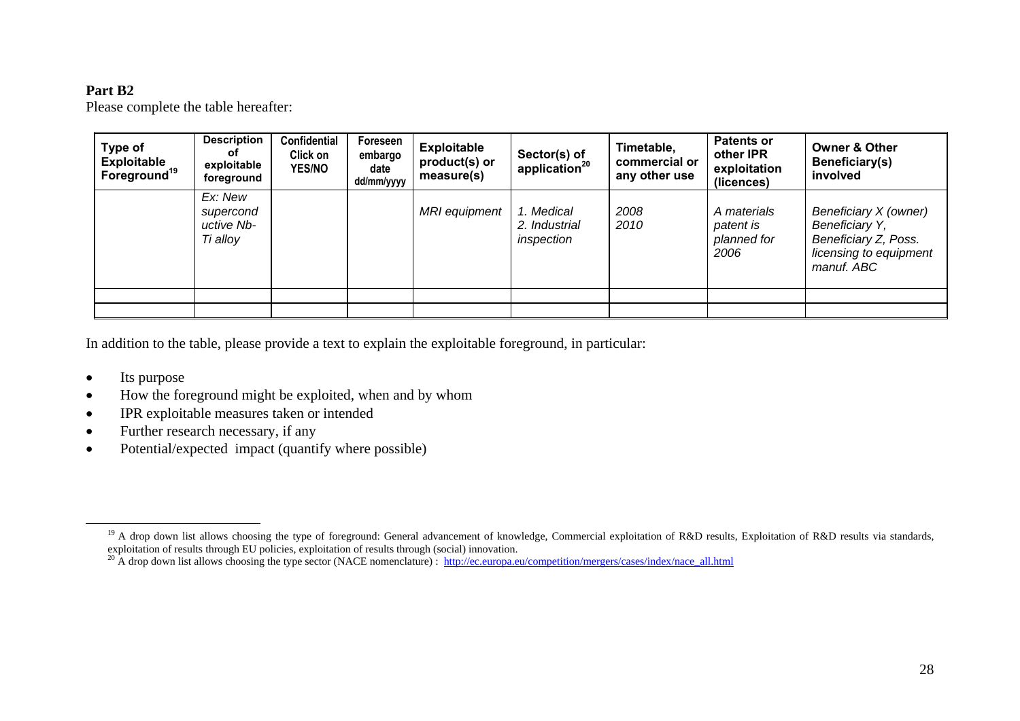### **Part B2**

Please complete the table hereafter:

| Type of<br><b>Exploitable</b><br>Foreground <sup>19</sup> | <b>Description</b><br>оf<br>exploitable<br>foreground | <b>Confidential</b><br>Click on<br><b>YES/NO</b> | Foreseen<br>embargo<br>date<br>dd/mm/yyyy | <b>Exploitable</b><br>product(s) or<br>measure(s) | Sector(s) of<br>application <sup>20</sup> | Timetable,<br>commercial or<br>any other use | <b>Patents or</b><br>other IPR<br>exploitation<br>(licences) | <b>Owner &amp; Other</b><br>Beneficiary(s)<br>involved                                                  |
|-----------------------------------------------------------|-------------------------------------------------------|--------------------------------------------------|-------------------------------------------|---------------------------------------------------|-------------------------------------------|----------------------------------------------|--------------------------------------------------------------|---------------------------------------------------------------------------------------------------------|
|                                                           | Ex: New<br>supercond<br>uctive Nb-<br>Ti alloy        |                                                  |                                           | <b>MRI</b> equipment                              | 1. Medical<br>2. Industrial<br>inspection | 2008<br>2010                                 | A materials<br>patent is<br>planned for<br>2006              | Beneficiary X (owner)<br>Beneficiary Y,<br>Beneficiary Z, Poss.<br>licensing to equipment<br>manuf. ABC |
|                                                           |                                                       |                                                  |                                           |                                                   |                                           |                                              |                                                              |                                                                                                         |
|                                                           |                                                       |                                                  |                                           |                                                   |                                           |                                              |                                                              |                                                                                                         |

In addition to the table, please provide a text to explain the exploitable foreground, in particular:

- •Its purpose
- •How the foreground might be exploited, when and by whom
- •IPR exploitable measures taken or intended
- •Further research necessary, if any
- •Potential/expected impact (quantify where possible)

<sup>&</sup>lt;sup>19</sup> A drop down list allows choosing the type of foreground: General advancement of knowledge, Commercial exploitation of R&D results, Exploitation of R&D results via standards, exploitation of results through EU policies, exploitation of results through (social) innovation.

<sup>&</sup>lt;sup>20</sup> A drop down list allows choosing the type sector (NACE nomenclature) : http://ec.europa.eu/competition/mergers/cases/index/nace\_all.html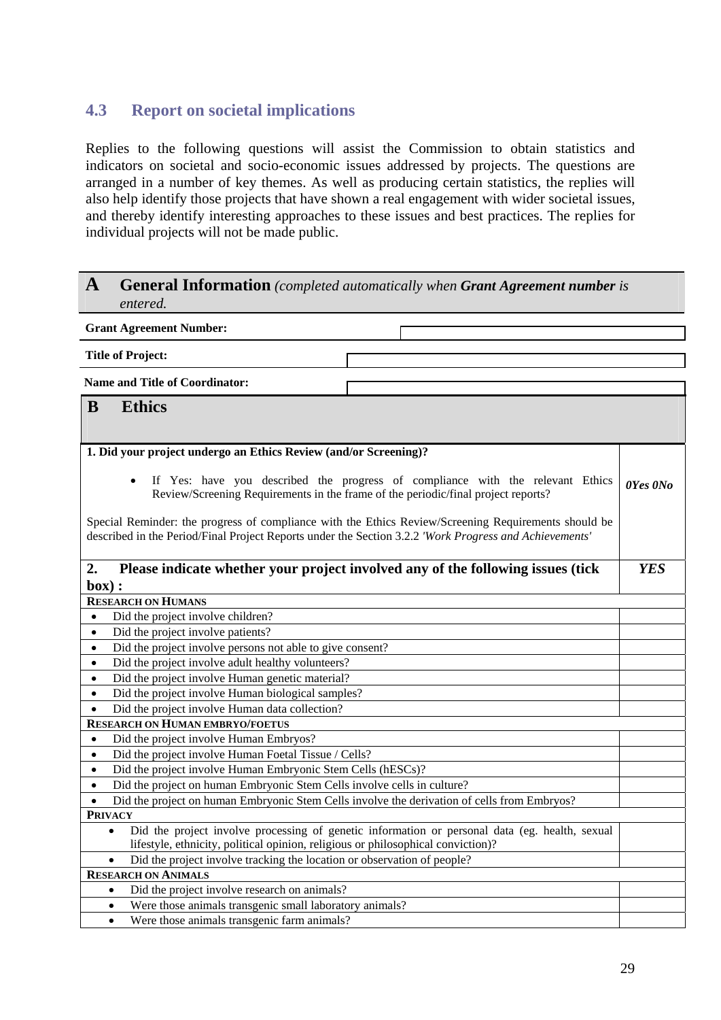# <span id="page-28-0"></span>**4.3 Report on societal implications**

Replies to the following questions will assist the Commission to obtain statistics and indicators on societal and socio-economic issues addressed by projects. The questions are arranged in a number of key themes. As well as producing certain statistics, the replies will also help identify those projects that have shown a real engagement with wider societal issues, and thereby identify interesting approaches to these issues and best practices. The replies for individual projects will not be made public.

### **A General Information** *(completed automatically when Grant Agreement number is entered.*

| <b>Grant Agreement Number:</b>                                                                         |                                                                                                                                                                     |            |  |  |  |  |
|--------------------------------------------------------------------------------------------------------|---------------------------------------------------------------------------------------------------------------------------------------------------------------------|------------|--|--|--|--|
| <b>Title of Project:</b>                                                                               |                                                                                                                                                                     |            |  |  |  |  |
| <b>Name and Title of Coordinator:</b>                                                                  |                                                                                                                                                                     |            |  |  |  |  |
|                                                                                                        |                                                                                                                                                                     |            |  |  |  |  |
| <b>Ethics</b><br>B                                                                                     |                                                                                                                                                                     |            |  |  |  |  |
|                                                                                                        |                                                                                                                                                                     |            |  |  |  |  |
| 1. Did your project undergo an Ethics Review (and/or Screening)?                                       |                                                                                                                                                                     |            |  |  |  |  |
|                                                                                                        |                                                                                                                                                                     |            |  |  |  |  |
| $\bullet$                                                                                              | If Yes: have you described the progress of compliance with the relevant Ethics<br>Review/Screening Requirements in the frame of the periodic/final project reports? | 0Yes 0No   |  |  |  |  |
| described in the Period/Final Project Reports under the Section 3.2.2 'Work Progress and Achievements' | Special Reminder: the progress of compliance with the Ethics Review/Screening Requirements should be                                                                |            |  |  |  |  |
| 2.                                                                                                     | Please indicate whether your project involved any of the following issues (tick                                                                                     | <b>YES</b> |  |  |  |  |
| box):                                                                                                  |                                                                                                                                                                     |            |  |  |  |  |
| <b>RESEARCH ON HUMANS</b>                                                                              |                                                                                                                                                                     |            |  |  |  |  |
| Did the project involve children?<br>$\bullet$                                                         |                                                                                                                                                                     |            |  |  |  |  |
| Did the project involve patients?<br>$\bullet$                                                         |                                                                                                                                                                     |            |  |  |  |  |
| Did the project involve persons not able to give consent?<br>$\bullet$                                 |                                                                                                                                                                     |            |  |  |  |  |
| Did the project involve adult healthy volunteers?<br>$\bullet$                                         |                                                                                                                                                                     |            |  |  |  |  |
| Did the project involve Human genetic material?<br>$\bullet$                                           |                                                                                                                                                                     |            |  |  |  |  |
| Did the project involve Human biological samples?<br>$\bullet$                                         |                                                                                                                                                                     |            |  |  |  |  |
| Did the project involve Human data collection?<br>$\bullet$                                            |                                                                                                                                                                     |            |  |  |  |  |
| <b>RESEARCH ON HUMAN EMBRYO/FOETUS</b>                                                                 |                                                                                                                                                                     |            |  |  |  |  |
| Did the project involve Human Embryos?<br>$\bullet$                                                    |                                                                                                                                                                     |            |  |  |  |  |
| Did the project involve Human Foetal Tissue / Cells?<br>$\bullet$                                      |                                                                                                                                                                     |            |  |  |  |  |
| Did the project involve Human Embryonic Stem Cells (hESCs)?<br>$\bullet$                               |                                                                                                                                                                     |            |  |  |  |  |
| Did the project on human Embryonic Stem Cells involve cells in culture?<br>$\bullet$                   |                                                                                                                                                                     |            |  |  |  |  |
| Did the project on human Embryonic Stem Cells involve the derivation of cells from Embryos?            |                                                                                                                                                                     |            |  |  |  |  |
| <b>PRIVACY</b>                                                                                         |                                                                                                                                                                     |            |  |  |  |  |
| $\bullet$                                                                                              | Did the project involve processing of genetic information or personal data (eg. health, sexual                                                                      |            |  |  |  |  |
| lifestyle, ethnicity, political opinion, religious or philosophical conviction)?                       |                                                                                                                                                                     |            |  |  |  |  |
| Did the project involve tracking the location or observation of people?<br>$\bullet$                   |                                                                                                                                                                     |            |  |  |  |  |
| <b>RESEARCH ON ANIMALS</b>                                                                             |                                                                                                                                                                     |            |  |  |  |  |
| Did the project involve research on animals?<br>$\bullet$                                              |                                                                                                                                                                     |            |  |  |  |  |
| Were those animals transgenic small laboratory animals?<br>$\bullet$                                   |                                                                                                                                                                     |            |  |  |  |  |
| Were those animals transgenic farm animals?<br>$\bullet$                                               |                                                                                                                                                                     |            |  |  |  |  |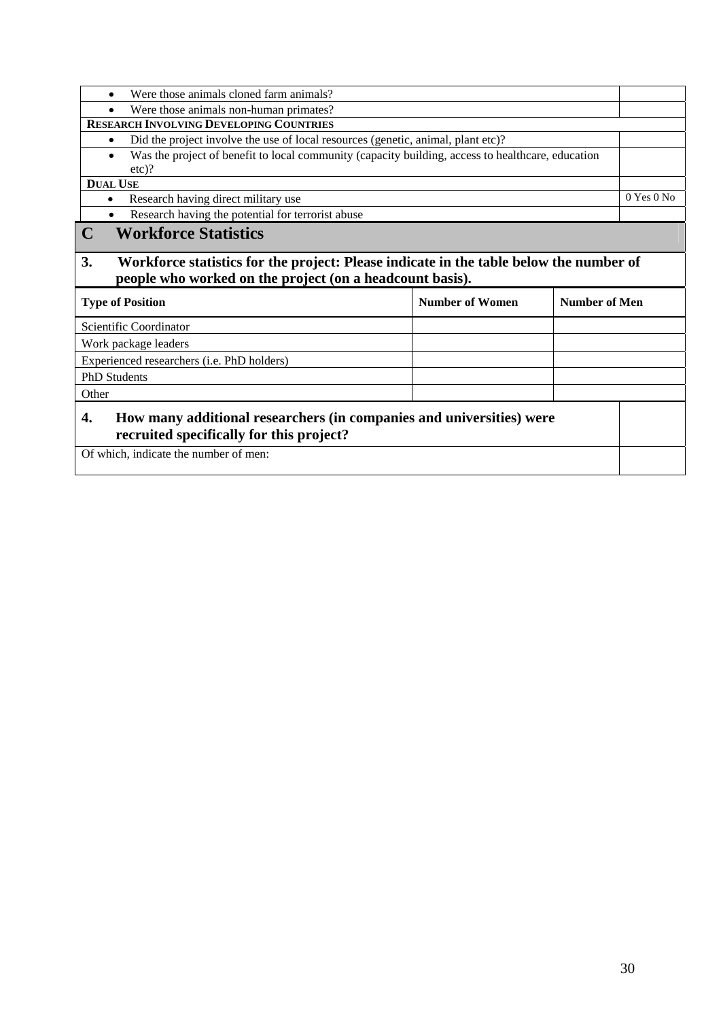• Were those animals cloned farm animals? • Were those animals non-human primates? **RESEARCH INVOLVING DEVELOPING COUNTRIES** • Did the project involve the use of local resources (genetic, animal, plant etc)? • Was the project of benefit to local community (capacity building, access to healthcare, education etc)? **DUAL USE**  • Research having direct military use 0 Yes 0 No Research having the potential for terrorist abuse **C Workforce Statistics 3. Workforce statistics for the project: Please indicate in the table below the number of people who worked on the project (on a headcount basis). Type of Position Number of Women 1989** Number of Women 1989 Number of Men 1989 Number of Men 1989 Number of Men 1989 Number of Men 1989 Number of Men 1989 Number of Men 1989 Number of Men 1989 Number of Men 1989 Number of Scientific Coordinator Work package leaders Experienced researchers (i.e. PhD holders) PhD Students Other **4. How many additional researchers (in companies and universities) were recruited specifically for this project?**  Of which, indicate the number of men: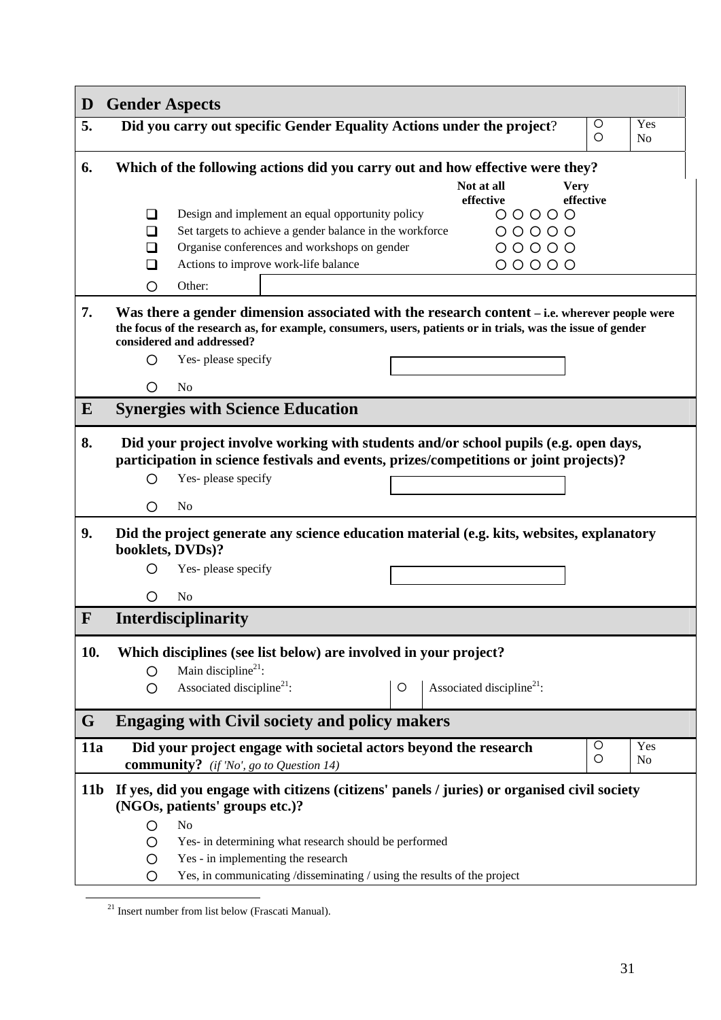| D               | <b>Gender Aspects</b>              |                                                |                                                                         |   |                                                                                                                                                                                                              |                          |                       |
|-----------------|------------------------------------|------------------------------------------------|-------------------------------------------------------------------------|---|--------------------------------------------------------------------------------------------------------------------------------------------------------------------------------------------------------------|--------------------------|-----------------------|
| 5.              |                                    |                                                |                                                                         |   | Did you carry out specific Gender Equality Actions under the project?                                                                                                                                        | $\circ$<br>$\circ$       | Yes<br>N <sub>o</sub> |
| 6.              |                                    |                                                |                                                                         |   | Which of the following actions did you carry out and how effective were they?                                                                                                                                |                          |                       |
|                 |                                    |                                                |                                                                         |   | Not at all<br>effective                                                                                                                                                                                      | <b>Very</b><br>effective |                       |
|                 | ❏                                  |                                                | Design and implement an equal opportunity policy                        |   | 00000                                                                                                                                                                                                        |                          |                       |
|                 | ◻                                  |                                                | Set targets to achieve a gender balance in the workforce                |   | 00000                                                                                                                                                                                                        |                          |                       |
|                 | $\Box$                             |                                                | Organise conferences and workshops on gender                            |   | $00000$                                                                                                                                                                                                      |                          |                       |
|                 | ப                                  |                                                | Actions to improve work-life balance                                    |   | 00000                                                                                                                                                                                                        |                          |                       |
|                 | O                                  | Other:                                         |                                                                         |   |                                                                                                                                                                                                              |                          |                       |
| 7.              | considered and addressed?          |                                                |                                                                         |   | Was there a gender dimension associated with the research content – i.e. wherever people were<br>the focus of the research as, for example, consumers, users, patients or in trials, was the issue of gender |                          |                       |
|                 | ∩                                  | Yes-please specify                             |                                                                         |   |                                                                                                                                                                                                              |                          |                       |
|                 | N <sub>0</sub><br>$\left( \right)$ |                                                |                                                                         |   |                                                                                                                                                                                                              |                          |                       |
| $\bf{E}$        |                                    |                                                | <b>Synergies with Science Education</b>                                 |   |                                                                                                                                                                                                              |                          |                       |
| 8.              | ◯                                  | Yes-please specify                             |                                                                         |   | Did your project involve working with students and/or school pupils (e.g. open days,<br>participation in science festivals and events, prizes/competitions or joint projects)?                               |                          |                       |
|                 |                                    |                                                |                                                                         |   |                                                                                                                                                                                                              |                          |                       |
|                 | No<br>O                            |                                                |                                                                         |   |                                                                                                                                                                                                              |                          |                       |
| 9.              | booklets, DVDs)?                   |                                                |                                                                         |   | Did the project generate any science education material (e.g. kits, websites, explanatory                                                                                                                    |                          |                       |
|                 | O                                  | Yes-please specify                             |                                                                         |   |                                                                                                                                                                                                              |                          |                       |
|                 | N <sub>0</sub><br>$\left( \right)$ |                                                |                                                                         |   |                                                                                                                                                                                                              |                          |                       |
| $\mathbf{F}$    | Interdisciplinarity                |                                                |                                                                         |   |                                                                                                                                                                                                              |                          |                       |
| 10.             |                                    |                                                | Which disciplines (see list below) are involved in your project?        |   |                                                                                                                                                                                                              |                          |                       |
|                 | O                                  | Main discipline <sup>21</sup> :                |                                                                         |   |                                                                                                                                                                                                              |                          |                       |
|                 | O                                  | Associated discipline <sup>21</sup> :          |                                                                         | O | Associated discipline <sup>21</sup> :                                                                                                                                                                        |                          |                       |
| G               |                                    |                                                | <b>Engaging with Civil society and policy makers</b>                    |   |                                                                                                                                                                                                              |                          |                       |
| <b>11a</b>      |                                    |                                                | Did your project engage with societal actors beyond the research        |   |                                                                                                                                                                                                              | $\circ$<br>O             | Yes<br>No             |
|                 |                                    | <b>community?</b> (if 'No', go to Question 14) |                                                                         |   |                                                                                                                                                                                                              |                          |                       |
| 11 <sub>b</sub> |                                    | (NGOs, patients' groups etc.)?                 |                                                                         |   | If yes, did you engage with citizens (citizens' panels / juries) or organised civil society                                                                                                                  |                          |                       |
|                 | No<br>O                            |                                                |                                                                         |   |                                                                                                                                                                                                              |                          |                       |
|                 | O                                  |                                                | Yes- in determining what research should be performed                   |   |                                                                                                                                                                                                              |                          |                       |
|                 | O                                  | Yes - in implementing the research             |                                                                         |   |                                                                                                                                                                                                              |                          |                       |
|                 | O                                  |                                                | Yes, in communicating /disseminating / using the results of the project |   |                                                                                                                                                                                                              |                          |                       |

 $\frac{21}{21}$  Insert number from list below (Frascati Manual).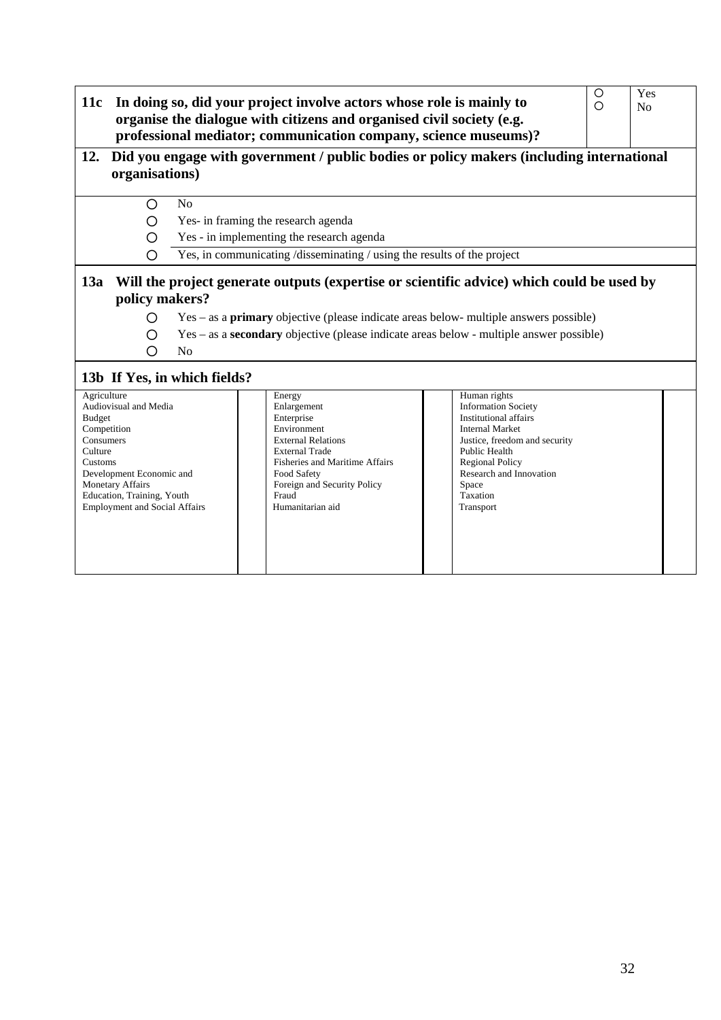| 11c                                                                            | $\circ$<br>$\circ$                                                                                                                                                                                                                                   | Yes<br>$\overline{N}$ |                                                                                                                                                                                                                       |                                                                                                                                                                                                                                        |  |  |  |  |
|--------------------------------------------------------------------------------|------------------------------------------------------------------------------------------------------------------------------------------------------------------------------------------------------------------------------------------------------|-----------------------|-----------------------------------------------------------------------------------------------------------------------------------------------------------------------------------------------------------------------|----------------------------------------------------------------------------------------------------------------------------------------------------------------------------------------------------------------------------------------|--|--|--|--|
| 12.                                                                            | organisations)                                                                                                                                                                                                                                       |                       | Did you engage with government / public bodies or policy makers (including international                                                                                                                              |                                                                                                                                                                                                                                        |  |  |  |  |
|                                                                                | O                                                                                                                                                                                                                                                    | N <sub>0</sub>        |                                                                                                                                                                                                                       |                                                                                                                                                                                                                                        |  |  |  |  |
|                                                                                | ∩                                                                                                                                                                                                                                                    |                       | Yes- in framing the research agenda                                                                                                                                                                                   |                                                                                                                                                                                                                                        |  |  |  |  |
|                                                                                | O                                                                                                                                                                                                                                                    |                       | Yes - in implementing the research agenda                                                                                                                                                                             |                                                                                                                                                                                                                                        |  |  |  |  |
|                                                                                | ∩                                                                                                                                                                                                                                                    |                       | Yes, in communicating /disseminating / using the results of the project                                                                                                                                               |                                                                                                                                                                                                                                        |  |  |  |  |
|                                                                                | $Yes - as a primary objective (please indicate areas below-multiple answers possible)$<br>◯<br>$Yes - as a secondary objective (please indicate areas below - multiple answer possible)$<br>◯<br>N <sub>0</sub><br>∩<br>13b If Yes, in which fields? |                       |                                                                                                                                                                                                                       |                                                                                                                                                                                                                                        |  |  |  |  |
| Agriculture<br><b>Budget</b><br>Competition<br>Consumers<br>Culture<br>Customs | Audiovisual and Media<br>Development Economic and<br><b>Monetary Affairs</b><br>Education, Training, Youth<br><b>Employment and Social Affairs</b>                                                                                                   |                       | Energy<br>Enlargement<br>Enterprise<br>Environment<br><b>External Relations</b><br><b>External Trade</b><br>Fisheries and Maritime Affairs<br>Food Safety<br>Foreign and Security Policy<br>Fraud<br>Humanitarian aid | Human rights<br><b>Information Society</b><br>Institutional affairs<br><b>Internal Market</b><br>Justice, freedom and security<br>Public Health<br><b>Regional Policy</b><br>Research and Innovation<br>Space<br>Taxation<br>Transport |  |  |  |  |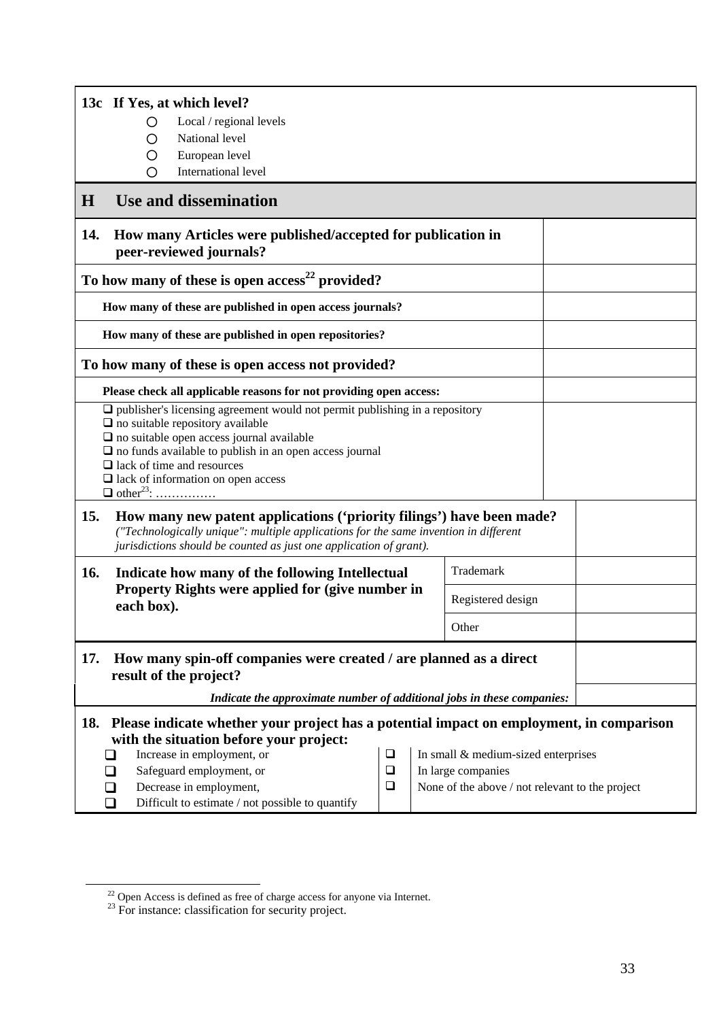|     | 13c If Yes, at which level?<br>Local / regional levels<br>O                                                                                                                                                                                                                                                                                                                                                                            |  |  |                   |  |  |  |
|-----|----------------------------------------------------------------------------------------------------------------------------------------------------------------------------------------------------------------------------------------------------------------------------------------------------------------------------------------------------------------------------------------------------------------------------------------|--|--|-------------------|--|--|--|
|     | National level<br>O<br>European level<br>O                                                                                                                                                                                                                                                                                                                                                                                             |  |  |                   |  |  |  |
|     | International level<br>∩                                                                                                                                                                                                                                                                                                                                                                                                               |  |  |                   |  |  |  |
| H   | Use and dissemination                                                                                                                                                                                                                                                                                                                                                                                                                  |  |  |                   |  |  |  |
| 14. | How many Articles were published/accepted for publication in<br>peer-reviewed journals?                                                                                                                                                                                                                                                                                                                                                |  |  |                   |  |  |  |
|     | To how many of these is open access <sup>22</sup> provided?                                                                                                                                                                                                                                                                                                                                                                            |  |  |                   |  |  |  |
|     | How many of these are published in open access journals?                                                                                                                                                                                                                                                                                                                                                                               |  |  |                   |  |  |  |
|     | How many of these are published in open repositories?                                                                                                                                                                                                                                                                                                                                                                                  |  |  |                   |  |  |  |
|     | To how many of these is open access not provided?                                                                                                                                                                                                                                                                                                                                                                                      |  |  |                   |  |  |  |
|     | Please check all applicable reasons for not providing open access:                                                                                                                                                                                                                                                                                                                                                                     |  |  |                   |  |  |  |
|     | $\Box$ publisher's licensing agreement would not permit publishing in a repository<br>$\Box$ no suitable repository available<br>$\square$ no suitable open access journal available<br>$\Box$ no funds available to publish in an open access journal<br>$\Box$ lack of time and resources<br>$\Box$ lack of information on open access<br>$\Box$ other <sup>23</sup> :                                                               |  |  |                   |  |  |  |
| 15. | How many new patent applications ('priority filings') have been made?<br>("Technologically unique": multiple applications for the same invention in different<br>jurisdictions should be counted as just one application of grant).                                                                                                                                                                                                    |  |  |                   |  |  |  |
| 16. | Indicate how many of the following Intellectual                                                                                                                                                                                                                                                                                                                                                                                        |  |  | Trademark         |  |  |  |
|     | Property Rights were applied for (give number in<br>each box).                                                                                                                                                                                                                                                                                                                                                                         |  |  | Registered design |  |  |  |
|     | Other                                                                                                                                                                                                                                                                                                                                                                                                                                  |  |  |                   |  |  |  |
| 17. | How many spin-off companies were created / are planned as a direct<br>result of the project?                                                                                                                                                                                                                                                                                                                                           |  |  |                   |  |  |  |
|     | Indicate the approximate number of additional jobs in these companies:                                                                                                                                                                                                                                                                                                                                                                 |  |  |                   |  |  |  |
|     | 18. Please indicate whether your project has a potential impact on employment, in comparison<br>with the situation before your project:<br>Increase in employment, or<br>$\Box$<br>In small & medium-sized enterprises<br>Safeguard employment, or<br>$\square$<br>In large companies<br>Decrease in employment,<br>$\Box$<br>None of the above / not relevant to the project<br>Difficult to estimate / not possible to quantify<br>◻ |  |  |                   |  |  |  |

<sup>&</sup>lt;sup>22</sup> Open Access is defined as free of charge access for anyone via Internet.

 $23$  For instance: classification for security project.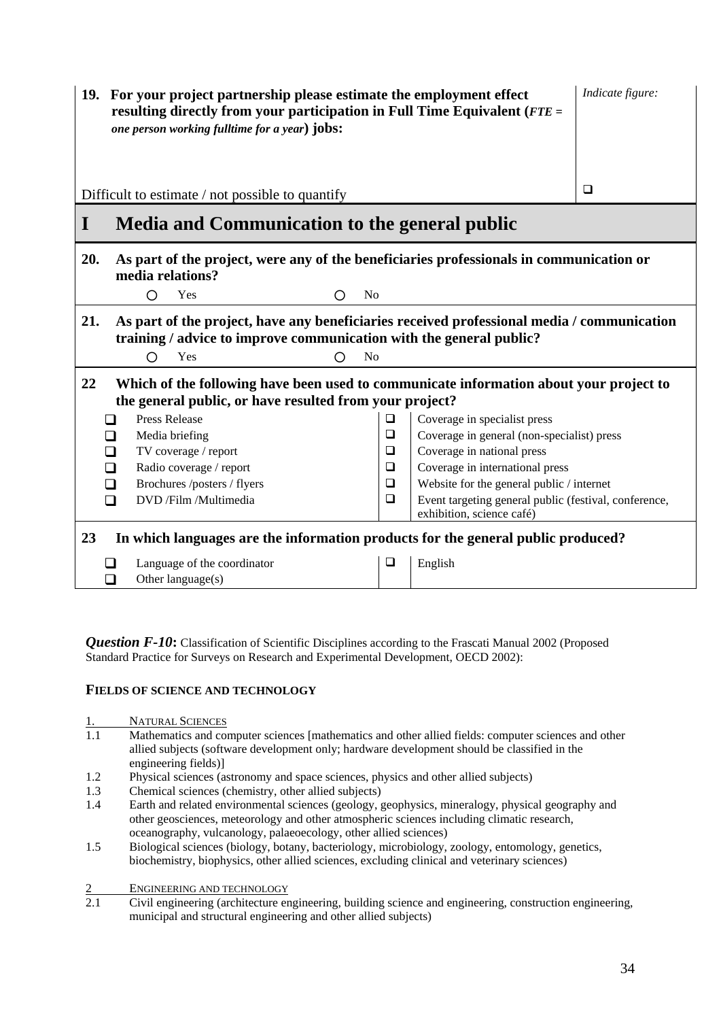|         | 19. For your project partnership please estimate the employment effect<br>resulting directly from your participation in Full Time Equivalent ( $FTE =$<br>one person working fulltime for a year) jobs: | Indicate figure:    |        |                                            |        |  |
|---------|---------------------------------------------------------------------------------------------------------------------------------------------------------------------------------------------------------|---------------------|--------|--------------------------------------------|--------|--|
|         | Difficult to estimate / not possible to quantify                                                                                                                                                        |                     |        |                                            | $\Box$ |  |
| I       | Media and Communication to the general public                                                                                                                                                           |                     |        |                                            |        |  |
| 20.     | As part of the project, were any of the beneficiaries professionals in communication or<br>media relations?                                                                                             |                     |        |                                            |        |  |
|         | O<br>Yes                                                                                                                                                                                                | N <sub>0</sub><br>Ω |        |                                            |        |  |
| 21.     | As part of the project, have any beneficiaries received professional media / communication<br>training / advice to improve communication with the general public?<br>Yes<br>∩<br>N <sub>0</sub>         |                     |        |                                            |        |  |
| 22      | Which of the following have been used to communicate information about your project to<br>the general public, or have resulted from your project?                                                       |                     |        |                                            |        |  |
|         | <b>Press Release</b>                                                                                                                                                                                    |                     | $\Box$ | Coverage in specialist press               |        |  |
|         | Media briefing                                                                                                                                                                                          |                     | $\Box$ | Coverage in general (non-specialist) press |        |  |
|         | TV coverage / report                                                                                                                                                                                    |                     | ❏      | Coverage in national press                 |        |  |
| $\perp$ | Radio coverage / report                                                                                                                                                                                 |                     | $\Box$ | Coverage in international press            |        |  |
| $\Box$  | Brochures /posters / flyers                                                                                                                                                                             |                     | $\Box$ | Website for the general public / internet  |        |  |
|         | $\Box$<br>DVD /Film /Multimedia<br>Event targeting general public (festival, conference,<br>$\Box$<br>exhibition, science café)                                                                         |                     |        |                                            |        |  |
| 23      | In which languages are the information products for the general public produced?                                                                                                                        |                     |        |                                            |        |  |
|         | Language of the coordinator                                                                                                                                                                             |                     | ⊔      | English                                    |        |  |
| □       | Other language(s)                                                                                                                                                                                       |                     |        |                                            |        |  |

*Question F-10*: Classification of Scientific Disciplines according to the Frascati Manual 2002 (Proposed Standard Practice for Surveys on Research and Experimental Development, OECD 2002):

### **FIELDS OF SCIENCE AND TECHNOLOGY**

- 1. NATURAL SCIENCES<br>1.1 Mathematics and con
- Mathematics and computer sciences [mathematics and other allied fields: computer sciences and other allied subjects (software development only; hardware development should be classified in the engineering fields)]
- 1.2 Physical sciences (astronomy and space sciences, physics and other allied subjects)<br>1.3 Chemical sciences (chemistry, other allied subjects)
- Chemical sciences (chemistry, other allied subjects)
- 1.4 Earth and related environmental sciences (geology, geophysics, mineralogy, physical geography and other geosciences, meteorology and other atmospheric sciences including climatic research, oceanography, vulcanology, palaeoecology, other allied sciences)
- 1.5 Biological sciences (biology, botany, bacteriology, microbiology, zoology, entomology, genetics, biochemistry, biophysics, other allied sciences, excluding clinical and veterinary sciences)
- 2 ENGINEERING AND TECHNOLOGY<br>2.1 Civil engineering (architecture en
- 2.1 Civil engineering (architecture engineering, building science and engineering, construction engineering, municipal and structural engineering and other allied subjects)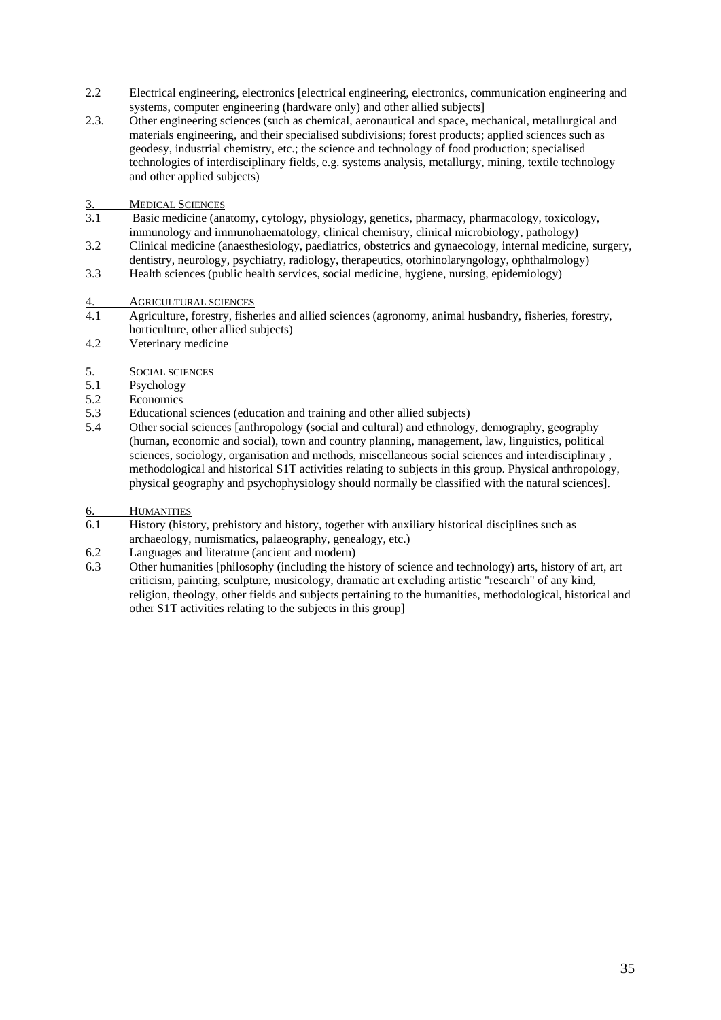- 2.2 Electrical engineering, electronics [electrical engineering, electronics, communication engineering and systems, computer engineering (hardware only) and other allied subjects]
- 2.3. Other engineering sciences (such as chemical, aeronautical and space, mechanical, metallurgical and materials engineering, and their specialised subdivisions; forest products; applied sciences such as geodesy, industrial chemistry, etc.; the science and technology of food production; specialised technologies of interdisciplinary fields, e.g. systems analysis, metallurgy, mining, textile technology and other applied subjects)
- 3. MEDICAL SCIENCES<br>3.1 Basic medicine (and
- Basic medicine (anatomy, cytology, physiology, genetics, pharmacy, pharmacology, toxicology, immunology and immunohaematology, clinical chemistry, clinical microbiology, pathology)
- 3.2 Clinical medicine (anaesthesiology, paediatrics, obstetrics and gynaecology, internal medicine, surgery, dentistry, neurology, psychiatry, radiology, therapeutics, otorhinolaryngology, ophthalmology)
- 3.3 Health sciences (public health services, social medicine, hygiene, nursing, epidemiology)

4. AGRICULTURAL SCIENCES<br>4.1 Agriculture forestry fishe

- 4.1 Agriculture, forestry, fisheries and allied sciences (agronomy, animal husbandry, fisheries, forestry, horticulture, other allied subjects)
- 4.2 Veterinary medicine
- 5. SOCIAL SCIENCES<br>5.1 Psychology
- Psychology
- 5.2 Economics
- 5.3 Educational sciences (education and training and other allied subjects)
- 5.4 Other social sciences [anthropology (social and cultural) and ethnology, demography, geography (human, economic and social), town and country planning, management, law, linguistics, political sciences, sociology, organisation and methods, miscellaneous social sciences and interdisciplinary , methodological and historical S1T activities relating to subjects in this group. Physical anthropology, physical geography and psychophysiology should normally be classified with the natural sciences].
- 6. HUMANITIES
- 6.1 History (history, prehistory and history, together with auxiliary historical disciplines such as archaeology, numismatics, palaeography, genealogy, etc.)
- 6.2 Languages and literature (ancient and modern)
- 6.3 Other humanities [philosophy (including the history of science and technology) arts, history of art, art criticism, painting, sculpture, musicology, dramatic art excluding artistic "research" of any kind, religion, theology, other fields and subjects pertaining to the humanities, methodological, historical and other S1T activities relating to the subjects in this group]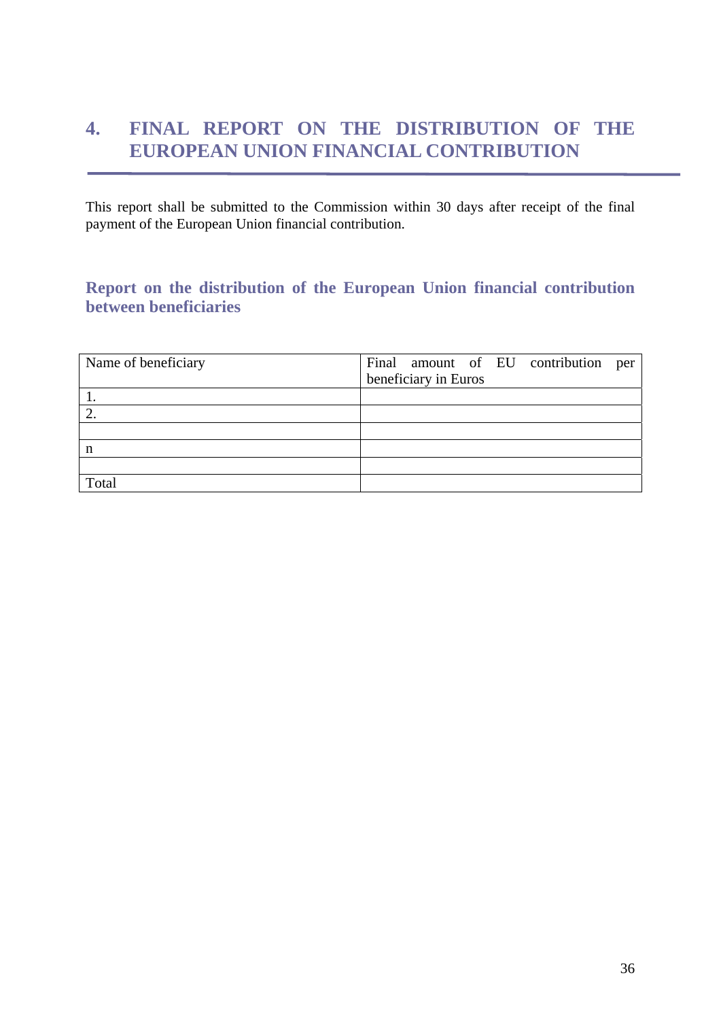# <span id="page-35-0"></span>**4. FINAL REPORT ON THE DISTRIBUTION OF THE EUROPEAN UNION FINANCIAL CONTRIBUTION**

This report shall be submitted to the Commission within 30 days after receipt of the final payment of the European Union financial contribution.

# <span id="page-35-1"></span>**Report on the distribution of the European Union financial contribution between beneficiaries**

| Name of beneficiary | Final amount of EU contribution per |
|---------------------|-------------------------------------|
|                     | beneficiary in Euros                |
| $\mathbf{I}$ .      |                                     |
| $\overline{2}$      |                                     |
|                     |                                     |
| n                   |                                     |
|                     |                                     |
| Total               |                                     |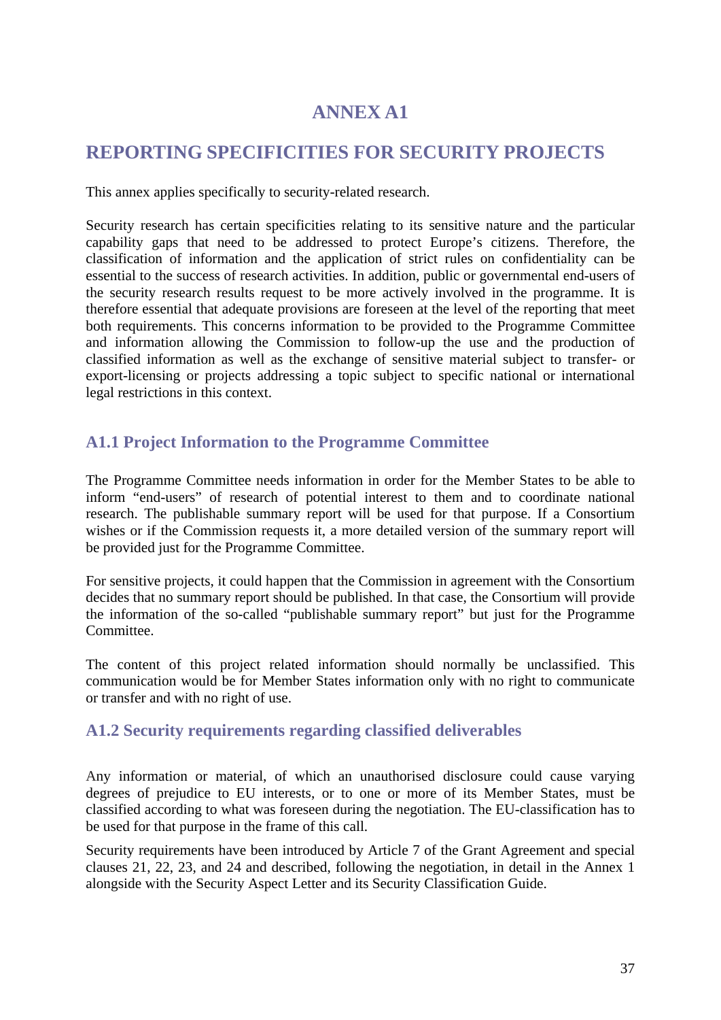# **ANNEX A1**

# <span id="page-36-1"></span><span id="page-36-0"></span>**REPORTING SPECIFICITIES FOR SECURITY PROJECTS**

This annex applies specifically to security-related research.

Security research has certain specificities relating to its sensitive nature and the particular capability gaps that need to be addressed to protect Europe's citizens. Therefore, the classification of information and the application of strict rules on confidentiality can be essential to the success of research activities. In addition, public or governmental end-users of the security research results request to be more actively involved in the programme. It is therefore essential that adequate provisions are foreseen at the level of the reporting that meet both requirements. This concerns information to be provided to the Programme Committee and information allowing the Commission to follow-up the use and the production of classified information as well as the exchange of sensitive material subject to transfer- or export-licensing or projects addressing a topic subject to specific national or international legal restrictions in this context.

## <span id="page-36-2"></span>**A1.1 Project Information to the Programme Committee**

The Programme Committee needs information in order for the Member States to be able to inform "end-users" of research of potential interest to them and to coordinate national research. The publishable summary report will be used for that purpose. If a Consortium wishes or if the Commission requests it, a more detailed version of the summary report will be provided just for the Programme Committee.

For sensitive projects, it could happen that the Commission in agreement with the Consortium decides that no summary report should be published. In that case, the Consortium will provide the information of the so-called "publishable summary report" but just for the Programme Committee.

The content of this project related information should normally be unclassified. This communication would be for Member States information only with no right to communicate or transfer and with no right of use.

### <span id="page-36-3"></span>**A1.2 Security requirements regarding classified deliverables**

Any information or material, of which an unauthorised disclosure could cause varying degrees of prejudice to EU interests, or to one or more of its Member States, must be classified according to what was foreseen during the negotiation. The EU-classification has to be used for that purpose in the frame of this call.

Security requirements have been introduced by Article 7 of the Grant Agreement and special clauses 21, 22, 23, and 24 and described, following the negotiation, in detail in the Annex 1 alongside with the Security Aspect Letter and its Security Classification Guide.